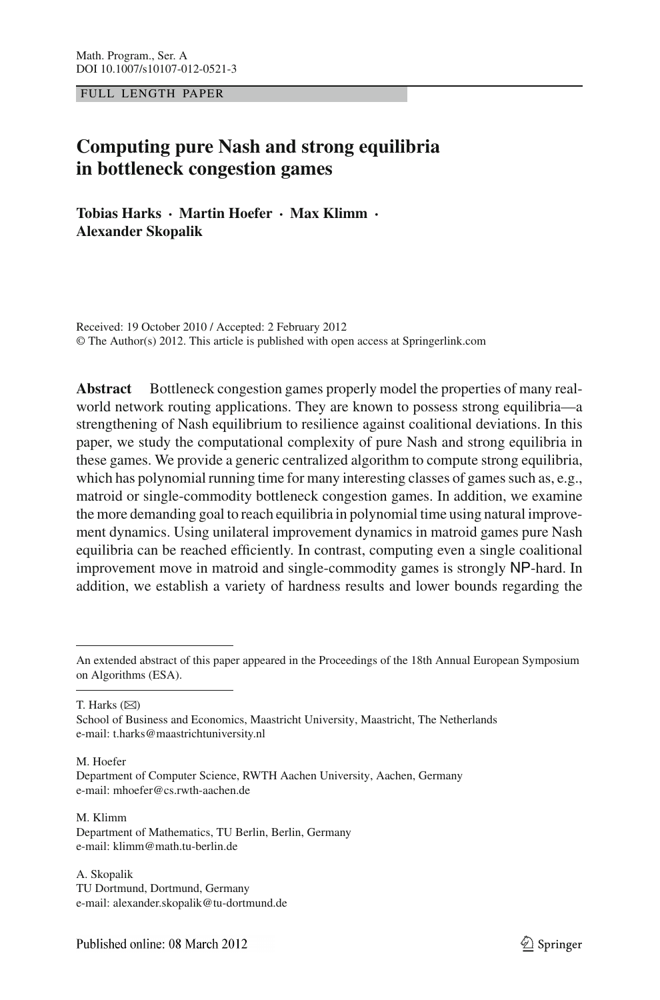FULL LENGTH PAPER

# **Computing pure Nash and strong equilibria in bottleneck congestion games**

**Tobias Harks · Martin Hoefer · Max Klimm · Alexander Skopalik**

Received: 19 October 2010 / Accepted: 2 February 2012 © The Author(s) 2012. This article is published with open access at Springerlink.com

**Abstract** Bottleneck congestion games properly model the properties of many realworld network routing applications. They are known to possess strong equilibria—a strengthening of Nash equilibrium to resilience against coalitional deviations. In this paper, we study the computational complexity of pure Nash and strong equilibria in these games. We provide a generic centralized algorithm to compute strong equilibria, which has polynomial running time for many interesting classes of games such as, e.g., matroid or single-commodity bottleneck congestion games. In addition, we examine the more demanding goal to reach equilibria in polynomial time using natural improvement dynamics. Using unilateral improvement dynamics in matroid games pure Nash equilibria can be reached efficiently. In contrast, computing even a single coalitional improvement move in matroid and single-commodity games is strongly NP-hard. In addition, we establish a variety of hardness results and lower bounds regarding the

T. Harks  $(\boxtimes)$ 

M. Klimm Department of Mathematics, TU Berlin, Berlin, Germany e-mail: klimm@math.tu-berlin.de

A. Skopalik TU Dortmund, Dortmund, Germany e-mail: alexander.skopalik@tu-dortmund.de

An extended abstract of this paper appeared in the Proceedings of the 18th Annual European Symposium on Algorithms (ESA).

School of Business and Economics, Maastricht University, Maastricht, The Netherlands e-mail: t.harks@maastrichtuniversity.nl

M. Hoefer Department of Computer Science, RWTH Aachen University, Aachen, Germany e-mail: mhoefer@cs.rwth-aachen.de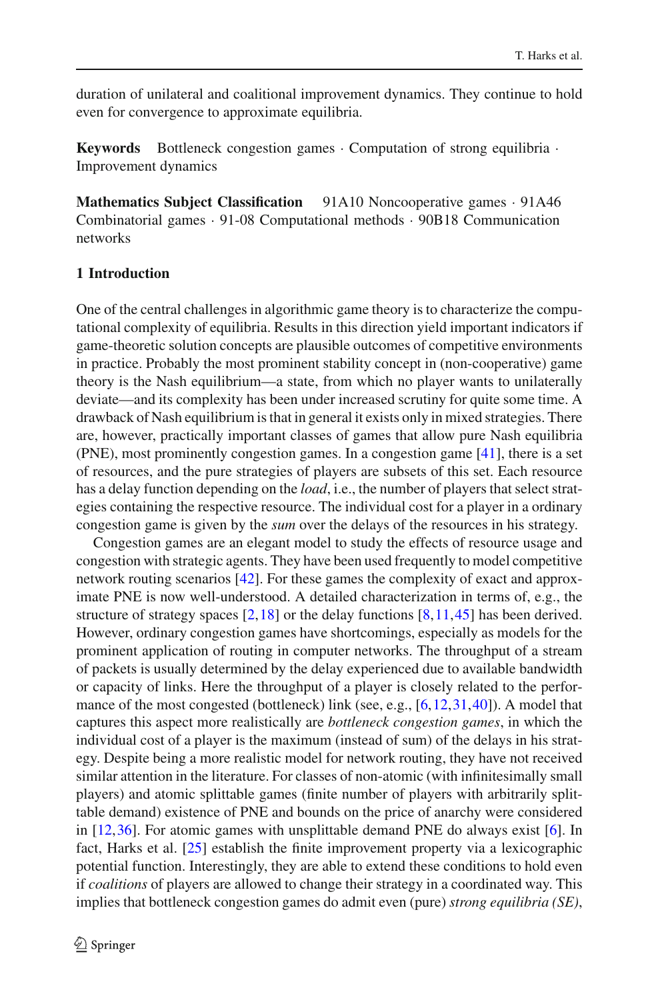duration of unilateral and coalitional improvement dynamics. They continue to hold even for convergence to approximate equilibria.

**Keywords** Bottleneck congestion games · Computation of strong equilibria · Improvement dynamics

**Mathematics Subject Classification** 91A10 Noncooperative games · 91A46 Combinatorial games · 91-08 Computational methods · 90B18 Communication networks

## **1 Introduction**

One of the central challenges in algorithmic game theory is to characterize the computational complexity of equilibria. Results in this direction yield important indicators if game-theoretic solution concepts are plausible outcomes of competitive environments in practice. Probably the most prominent stability concept in (non-cooperative) game theory is the Nash equilibrium—a state, from which no player wants to unilaterally deviate—and its complexity has been under increased scrutiny for quite some time. A drawback of Nash equilibrium is that in general it exists only in mixed strategies. There are, however, practically important classes of games that allow pure Nash equilibria (PNE), most prominently congestion games. In a congestion game [\[41](#page-22-0)], there is a set of resources, and the pure strategies of players are subsets of this set. Each resource has a delay function depending on the *load*, i.e., the number of players that select strategies containing the respective resource. The individual cost for a player in a ordinary congestion game is given by the *sum* over the delays of the resources in his strategy.

Congestion games are an elegant model to study the effects of resource usage and congestion with strategic agents. They have been used frequently to model competitive network routing scenarios [\[42\]](#page-22-1). For these games the complexity of exact and approximate PNE is now well-understood. A detailed characterization in terms of, e.g., the structure of strategy spaces  $[2,18]$  $[2,18]$  $[2,18]$  or the delay functions  $[8,11,45]$  $[8,11,45]$  $[8,11,45]$  $[8,11,45]$  has been derived. However, ordinary congestion games have shortcomings, especially as models for the prominent application of routing in computer networks. The throughput of a stream of packets is usually determined by the delay experienced due to available bandwidth or capacity of links. Here the throughput of a player is closely related to the perfor-mance of the most congested (bottleneck) link (see, e.g., [\[6](#page-20-1), 12, [31,](#page-21-4) [40\]](#page-22-3)). A model that captures this aspect more realistically are *bottleneck congestion games*, in which the individual cost of a player is the maximum (instead of sum) of the delays in his strategy. Despite being a more realistic model for network routing, they have not received similar attention in the literature. For classes of non-atomic (with infinitesimally small players) and atomic splittable games (finite number of players with arbitrarily splittable demand) existence of PNE and bounds on the price of anarchy were considered in  $[12,36]$  $[12,36]$ . For atomic games with unsplittable demand PNE do always exist  $[6]$  $[6]$ . In fact, Harks et al. [\[25\]](#page-21-5) establish the finite improvement property via a lexicographic potential function. Interestingly, they are able to extend these conditions to hold even if *coalitions* of players are allowed to change their strategy in a coordinated way. This implies that bottleneck congestion games do admit even (pure) *strong equilibria (SE)*,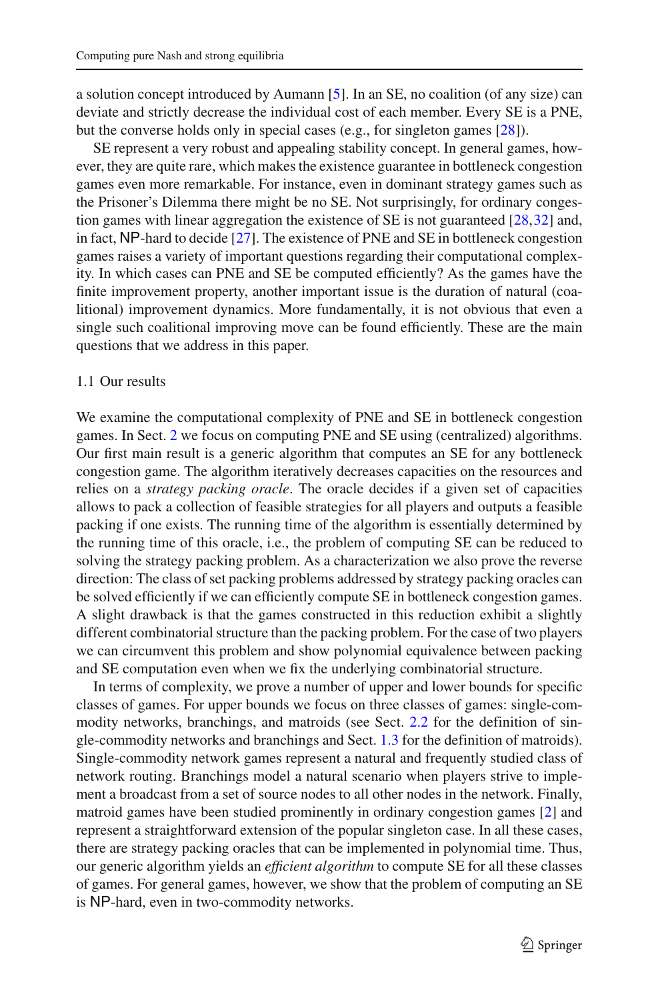a solution concept introduced by Aumann [\[5\]](#page-20-2). In an SE, no coalition (of any size) can deviate and strictly decrease the individual cost of each member. Every SE is a PNE, but the converse holds only in special cases (e.g., for singleton games [\[28](#page-21-6)]).

SE represent a very robust and appealing stability concept. In general games, however, they are quite rare, which makes the existence guarantee in bottleneck congestion games even more remarkable. For instance, even in dominant strategy games such as the Prisoner's Dilemma there might be no SE. Not surprisingly, for ordinary congestion games with linear aggregation the existence of SE is not guaranteed [\[28](#page-21-6),[32\]](#page-21-7) and, in fact, NP-hard to decide [\[27](#page-21-8)]. The existence of PNE and SE in bottleneck congestion games raises a variety of important questions regarding their computational complexity. In which cases can PNE and SE be computed efficiently? As the games have the finite improvement property, another important issue is the duration of natural (coalitional) improvement dynamics. More fundamentally, it is not obvious that even a single such coalitional improving move can be found efficiently. These are the main questions that we address in this paper.

#### 1.1 Our results

We examine the computational complexity of PNE and SE in bottleneck congestion games. In Sect. [2](#page-5-0) we focus on computing PNE and SE using (centralized) algorithms. Our first main result is a generic algorithm that computes an SE for any bottleneck congestion game. The algorithm iteratively decreases capacities on the resources and relies on a *strategy packing oracle*. The oracle decides if a given set of capacities allows to pack a collection of feasible strategies for all players and outputs a feasible packing if one exists. The running time of the algorithm is essentially determined by the running time of this oracle, i.e., the problem of computing SE can be reduced to solving the strategy packing problem. As a characterization we also prove the reverse direction: The class of set packing problems addressed by strategy packing oracles can be solved efficiently if we can efficiently compute SE in bottleneck congestion games. A slight drawback is that the games constructed in this reduction exhibit a slightly different combinatorial structure than the packing problem. For the case of two players we can circumvent this problem and show polynomial equivalence between packing and SE computation even when we fix the underlying combinatorial structure.

In terms of complexity, we prove a number of upper and lower bounds for specific classes of games. For upper bounds we focus on three classes of games: single-commodity networks, branchings, and matroids (see Sect. [2.2](#page-8-0) for the definition of single-commodity networks and branchings and Sect. [1.3](#page-4-0) for the definition of matroids). Single-commodity network games represent a natural and frequently studied class of network routing. Branchings model a natural scenario when players strive to implement a broadcast from a set of source nodes to all other nodes in the network. Finally, matroid games have been studied prominently in ordinary congestion games [\[2\]](#page-20-0) and represent a straightforward extension of the popular singleton case. In all these cases, there are strategy packing oracles that can be implemented in polynomial time. Thus, our generic algorithm yields an *efficient algorithm* to compute SE for all these classes of games. For general games, however, we show that the problem of computing an SE is NP-hard, even in two-commodity networks.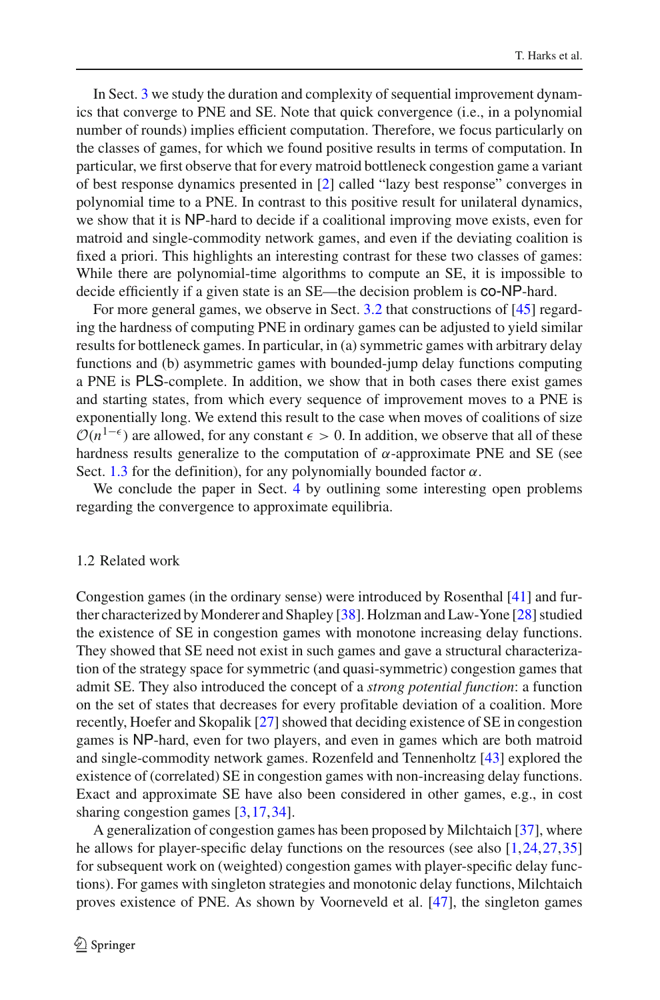In Sect. [3](#page-10-0) we study the duration and complexity of sequential improvement dynamics that converge to PNE and SE. Note that quick convergence (i.e., in a polynomial number of rounds) implies efficient computation. Therefore, we focus particularly on the classes of games, for which we found positive results in terms of computation. In particular, we first observe that for every matroid bottleneck congestion game a variant of best response dynamics presented in [\[2\]](#page-20-0) called "lazy best response" converges in polynomial time to a PNE. In contrast to this positive result for unilateral dynamics, we show that it is NP-hard to decide if a coalitional improving move exists, even for matroid and single-commodity network games, and even if the deviating coalition is fixed a priori. This highlights an interesting contrast for these two classes of games: While there are polynomial-time algorithms to compute an SE, it is impossible to decide efficiently if a given state is an SE—the decision problem is co-NP-hard.

For more general games, we observe in Sect. [3.2](#page-15-0) that constructions of [\[45\]](#page-22-2) regarding the hardness of computing PNE in ordinary games can be adjusted to yield similar results for bottleneck games. In particular, in (a) symmetric games with arbitrary delay functions and (b) asymmetric games with bounded-jump delay functions computing a PNE is PLS-complete. In addition, we show that in both cases there exist games and starting states, from which every sequence of improvement moves to a PNE is exponentially long. We extend this result to the case when moves of coalitions of size  $O(n^{1-\epsilon})$  are allowed, for any constant  $\epsilon > 0$ . In addition, we observe that all of these hardness results generalize to the computation of  $\alpha$ -approximate PNE and SE (see Sect. [1.3](#page-4-0) for the definition), for any polynomially bounded factor  $\alpha$ .

We conclude the paper in Sect. [4](#page-17-0) by outlining some interesting open problems regarding the convergence to approximate equilibria.

#### 1.2 Related work

Congestion games (in the ordinary sense) were introduced by Rosenthal [\[41\]](#page-22-0) and further characterized by Monderer and Shapley [\[38](#page-22-5)]. Holzman and Law-Yone [\[28](#page-21-6)] studied the existence of SE in congestion games with monotone increasing delay functions. They showed that SE need not exist in such games and gave a structural characterization of the strategy space for symmetric (and quasi-symmetric) congestion games that admit SE. They also introduced the concept of a *strong potential function*: a function on the set of states that decreases for every profitable deviation of a coalition. More recently, Hoefer and Skopalik [\[27\]](#page-21-8) showed that deciding existence of SE in congestion games is NP-hard, even for two players, and even in games which are both matroid and single-commodity network games. Rozenfeld and Tennenholtz [\[43\]](#page-22-6) explored the existence of (correlated) SE in congestion games with non-increasing delay functions. Exact and approximate SE have also been considered in other games, e.g., in cost sharing congestion games [\[3](#page-20-3),[17,](#page-21-9)[34\]](#page-22-7).

A generalization of congestion games has been proposed by Milchtaich [\[37](#page-22-8)], where he allows for player-specific delay functions on the resources (see also [\[1](#page-20-4)[,24](#page-21-10),[27,](#page-21-8)[35\]](#page-22-9) for subsequent work on (weighted) congestion games with player-specific delay functions). For games with singleton strategies and monotonic delay functions, Milchtaich proves existence of PNE. As shown by Voorneveld et al. [\[47](#page-22-10)], the singleton games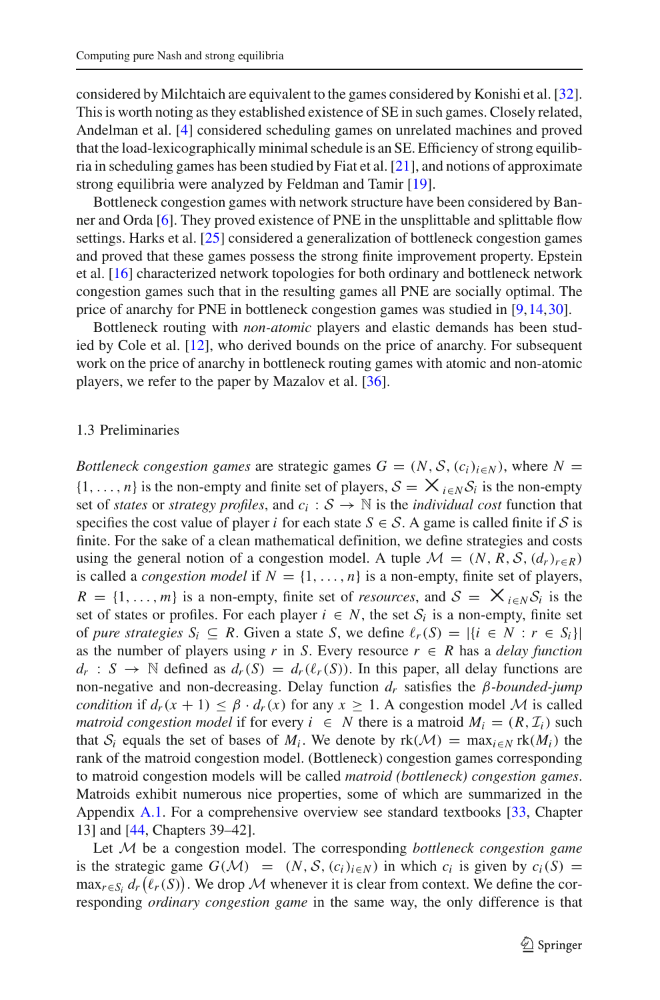considered by Milchtaich are equivalent to the games considered by Konishi et al. [\[32](#page-21-7)]. This is worth noting as they established existence of SE in such games. Closely related, Andelman et al. [\[4](#page-20-5)] considered scheduling games on unrelated machines and proved that the load-lexicographically minimal schedule is an SE. Efficiency of strong equilibria in scheduling games has been studied by Fiat et al. [\[21](#page-21-11)], and notions of approximate strong equilibria were analyzed by Feldman and Tamir [\[19\]](#page-21-12).

Bottleneck congestion games with network structure have been considered by Banner and Orda [\[6](#page-20-1)]. They proved existence of PNE in the unsplittable and splittable flow settings. Harks et al. [\[25\]](#page-21-5) considered a generalization of bottleneck congestion games and proved that these games possess the strong finite improvement property. Epstein et al. [\[16](#page-21-13)] characterized network topologies for both ordinary and bottleneck network congestion games such that in the resulting games all PNE are socially optimal. The price of anarchy for PNE in bottleneck congestion games was studied in [\[9](#page-21-14)[,14](#page-21-15)[,30](#page-21-16)].

Bottleneck routing with *non-atomic* players and elastic demands has been studied by Cole et al. [\[12](#page-21-3)], who derived bounds on the price of anarchy. For subsequent work on the price of anarchy in bottleneck routing games with atomic and non-atomic players, we refer to the paper by Mazalov et al. [\[36](#page-22-4)].

## <span id="page-4-0"></span>1.3 Preliminaries

*Bottleneck congestion games* are strategic games  $G = (N, S, (c_i)_{i \in N})$ , where  $N =$  $\{1,\ldots,n\}$  is the non-empty and finite set of players,  $S = X_{i \in N} S_i$  is the non-empty set of *states* or *strategy profiles*, and  $c_i : S \to \mathbb{N}$  is the *individual cost* function that specifies the cost value of player *i* for each state  $S \in S$ . A game is called finite if S is finite. For the sake of a clean mathematical definition, we define strategies and costs using the general notion of a congestion model. A tuple  $\mathcal{M} = (N, R, \mathcal{S}, (d_r)_{r \in R})$ is called a *congestion model* if  $N = \{1, \ldots, n\}$  is a non-empty, finite set of players,  $R = \{1, \ldots, m\}$  is a non-empty, finite set of *resources*, and  $S = \mathsf{X}_{i \in N} S_i$  is the set of states or profiles. For each player  $i \in N$ , the set  $S_i$  is a non-empty, finite set of *pure strategies*  $S_i \subseteq R$ . Given a state *S*, we define  $\ell_r(S) = |\{i \in N : r \in S_i\}|$ as the number of players using *r* in *S*. Every resource  $r \in R$  has a *delay function*  $d_r$  :  $S \to \mathbb{N}$  defined as  $d_r(S) = d_r(\ell_r(S))$ . In this paper, all delay functions are non-negative and non-decreasing. Delay function *dr* satisfies the β*-bounded-jump condition* if  $d_r(x + 1) \leq \beta \cdot d_r(x)$  for any  $x \geq 1$ . A congestion model M is called *matroid congestion model* if for every  $i \in N$  there is a matroid  $M_i = (R, \mathcal{I}_i)$  such that  $S_i$  equals the set of bases of  $M_i$ . We denote by  $rk(\mathcal{M}) = \max_{i \in N} rk(M_i)$  the rank of the matroid congestion model. (Bottleneck) congestion games corresponding to matroid congestion models will be called *matroid (bottleneck) congestion games*. Matroids exhibit numerous nice properties, some of which are summarized in the Appendix [A.1.](#page-17-1) For a comprehensive overview see standard textbooks [\[33,](#page-21-17) Chapter 13] and [\[44,](#page-22-11) Chapters 39–42].

Let *M* be a congestion model. The corresponding *bottleneck congestion game* is the strategic game  $G(\mathcal{M}) = (N, \mathcal{S}, (c_i)_{i \in \mathcal{N}})$  in which  $c_i$  is given by  $c_i(S) =$  $\max_{r \in S_i} d_r(\ell_r(S))$ . We drop *M* whenever it is clear from context. We define the corresponding *ordinary congestion game* in the same way, the only difference is that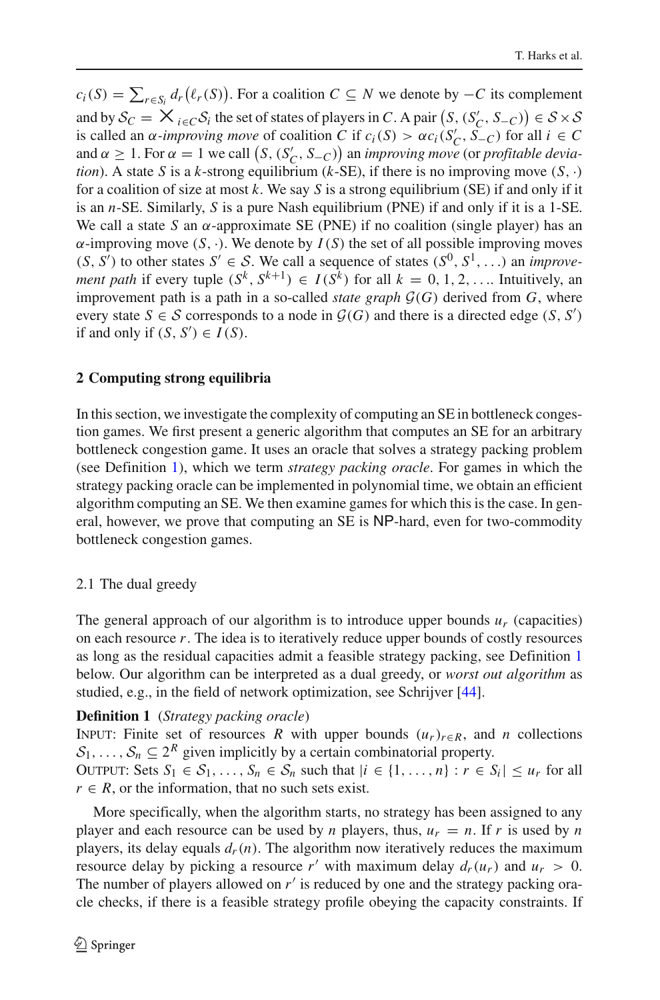$c_i(S) = \sum_{r \in S_i} d_r(\ell_r(S))$ . For a coalition  $C \subseteq N$  we denote by  $-C$  its complement and by  $S_C = \mathsf{X}_i \in C \mathcal{S}_i$  the set of states of players in *C*. A pair  $(S, (S'_C, S_{-C})) \in S \times S$ is called an  $\alpha$ *-improving move* of coalition *C* if  $c_i(S) > \alpha c_i(S'_C, S_{-C})$  for all  $i \in C$ and  $\alpha \geq 1$ . For  $\alpha = 1$  we call  $(S, (S_C', S_{-C}))$  an *improving move* (or *profitable deviation*). A state *S* is a *k*-strong equilibrium (*k*-SE), if there is no improving move  $(S, \cdot)$ for a coalition of size at most *k*. We say *S* is a strong equilibrium (SE) if and only if it is an *n*-SE. Similarly, *S* is a pure Nash equilibrium (PNE) if and only if it is a 1-SE. We call a state *S* an  $\alpha$ -approximate SE (PNE) if no coalition (single player) has an  $\alpha$ -improving move  $(S, \cdot)$ . We denote by  $I(S)$  the set of all possible improving moves  $(S, S')$  to other states  $S' \in S$ . We call a sequence of states  $(S^0, S^1, \ldots)$  an *improvement path* if every tuple  $(S^k, S^{k+1}) \in I(S^k)$  for all  $k = 0, 1, 2, \ldots$  Intuitively, an improvement path is a path in a so-called *state graph*  $\mathcal{G}(G)$  derived from  $G$ , where every state  $S \in \mathcal{S}$  corresponds to a node in  $\mathcal{G}(G)$  and there is a directed edge  $(S, S')$ if and only if  $(S, S') \in I(S)$ .

## <span id="page-5-0"></span>**2 Computing strong equilibria**

In this section, we investigate the complexity of computing an SE in bottleneck congestion games. We first present a generic algorithm that computes an SE for an arbitrary bottleneck congestion game. It uses an oracle that solves a strategy packing problem (see Definition [1\)](#page-5-1), which we term *strategy packing oracle*. For games in which the strategy packing oracle can be implemented in polynomial time, we obtain an efficient algorithm computing an SE. We then examine games for which this is the case. In general, however, we prove that computing an SE is NP-hard, even for two-commodity bottleneck congestion games.

## 2.1 The dual greedy

The general approach of our algorithm is to introduce upper bounds  $u_r$  (capacities) on each resource *r*. The idea is to iteratively reduce upper bounds of costly resources as long as the residual capacities admit a feasible strategy packing, see Definition [1](#page-5-1) below. Our algorithm can be interpreted as a dual greedy, or *worst out algorithm* as studied, e.g., in the field of network optimization, see Schrijver [\[44\]](#page-22-11).

## <span id="page-5-1"></span>**Definition 1** (*Strategy packing oracle*)

INPUT: Finite set of resources *R* with upper bounds  $(u_r)_{r \in R}$ , and *n* collections  $S_1, \ldots, S_n \subseteq 2^R$  given implicitly by a certain combinatorial property. OUTPUT: Sets  $S_1 \in S_1, \ldots, S_n \in S_n$  such that  $|i \in \{1, \ldots, n\} : r \in S_i| \leq u_r$  for all  $r \in R$ , or the information, that no such sets exist.

More specifically, when the algorithm starts, no strategy has been assigned to any player and each resource can be used by *n* players, thus,  $u_r = n$ . If *r* is used by *n* players, its delay equals  $d_r(n)$ . The algorithm now iteratively reduces the maximum resource delay by picking a resource  $r'$  with maximum delay  $d_r(u_r)$  and  $u_r > 0$ . The number of players allowed on  $r'$  is reduced by one and the strategy packing oracle checks, if there is a feasible strategy profile obeying the capacity constraints. If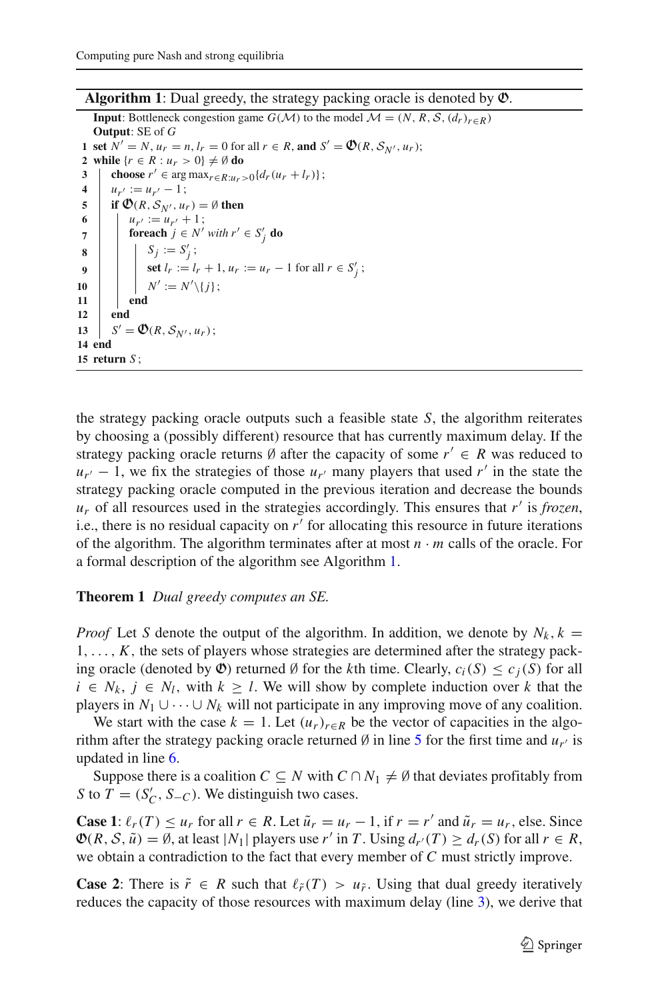**Algorithm 1**: Dual greedy, the strategy packing oracle is denoted by O.

<span id="page-6-3"></span><span id="page-6-2"></span><span id="page-6-1"></span><span id="page-6-0"></span>**Input**: Bottleneck congestion game *G*(*M*) to the model  $M = (N, R, S, (d_r)_{r \in R})$ **Output**: SE of *G* **1** set  $N' = N$ ,  $u_r = n$ ,  $l_r = 0$  for all  $r \in R$ , and  $S' = \mathfrak{O}(R, \mathcal{S}_{N'}, u_r)$ ; **2 while**  $\{r \in R : u_r > 0\} \neq \emptyset$  **do 3**  $\left\{\n \begin{array}{l}\n \text{choose } r' \in \arg \max_{r \in R: u_r > 0} \{d_r(u_r + l_r)\}; \\
4 \quad u_{r'} := u_{r'} - 1.\n \end{array}\n\right.$ **4**  $u_{r'} := u_{r'} - 1$ ;<br>**5** if  $\mathfrak{O}(R, S_{N'}, u)$ **5 if**  $\mathcal{O}(R, S_{N'}, u_r) = \emptyset$  then<br>**6 i**  $u_{n'} := u_{n'} + 1$ : 6<br> *u<sub>r'</sub>* :=  $u_{r'} + 1$ ;<br> **foreach**  $j \in N'$ **for**  $f \in N'$  *with*  $r' \in S'_j$  **do 8**  $S_j := S'_j;$ **9**  $\left| \begin{array}{c} \bullet \\ \bullet \end{array} \right|$  **set**  $l_r := l_r + 1, u_r := u_r - 1$  for all  $r \in S'_j$ ;  $\begin{array}{|c|c|c|c|c|}\n\hline\n10 & & N' := N' \setminus \{j\};\n\hline\n\end{array}$ **11 end 12 end** 13  $S' = \mathfrak{O}(R, S_{N'}, u_r);$ **14 end 15 return** *S* ;

the strategy packing oracle outputs such a feasible state *S*, the algorithm reiterates by choosing a (possibly different) resource that has currently maximum delay. If the strategy packing oracle returns  $\emptyset$  after the capacity of some  $r' \in R$  was reduced to  $u_{r'}$  − 1, we fix the strategies of those  $u_{r'}$  many players that used  $r'$  in the state the strategy packing oracle computed in the previous iteration and decrease the bounds *ur* of all resources used in the strategies accordingly. This ensures that *r* is *frozen*, i.e., there is no residual capacity on  $r'$  for allocating this resource in future iterations of the algorithm. The algorithm terminates after at most  $n \cdot m$  calls of the oracle. For a formal description of the algorithm see Algorithm [1.](#page-6-0)

### **Theorem 1** *Dual greedy computes an SE.*

*Proof* Let *S* denote the output of the algorithm. In addition, we denote by  $N_k$ ,  $k =$  $1, \ldots, K$ , the sets of players whose strategies are determined after the strategy packing oracle (denoted by  $\Phi$ ) returned Ø for the *k*th time. Clearly,  $c_i(S) \leq c_j(S)$  for all *i* ∈  $N_k$ ,  $j \text{ ∈ } N_l$ , with  $k \geq l$ . We will show by complete induction over *k* that the players in  $N_1 \cup \cdots \cup N_k$  will not participate in any improving move of any coalition.

We start with the case  $k = 1$ . Let  $(u_r)_{r \in R}$  be the vector of capacities in the algorithm after the strategy packing oracle returned  $\emptyset$  in line [5](#page-6-1) for the first time and  $u_{r'}$  is updated in line [6.](#page-6-2)

Suppose there is a coalition  $C \subseteq N$  with  $C \cap N_1 \neq \emptyset$  that deviates profitably from *S* to *T* = (*S*<sup>*C*</sup>, *S*−*C*). We distinguish two cases.

**Case 1**:  $\ell_r(T) \leq u_r$  for all  $r \in R$ . Let  $\tilde{u}_r = u_r - 1$ , if  $r = r'$  and  $\tilde{u}_r = u_r$ , else. Since  $\mathfrak{O}(R, \mathcal{S}, \tilde{u}) = \emptyset$ , at least  $|N_1|$  players use r' in T. Using  $d_{r'}(T) \geq d_r(S)$  for all  $r \in R$ , we obtain a contradiction to the fact that every member of *C* must strictly improve.

**Case 2**: There is  $\tilde{r} \in R$  such that  $\ell_{\tilde{r}}(T) > u_{\tilde{r}}$ . Using that dual greedy iteratively reduces the capacity of those resources with maximum delay (line [3\)](#page-6-3), we derive that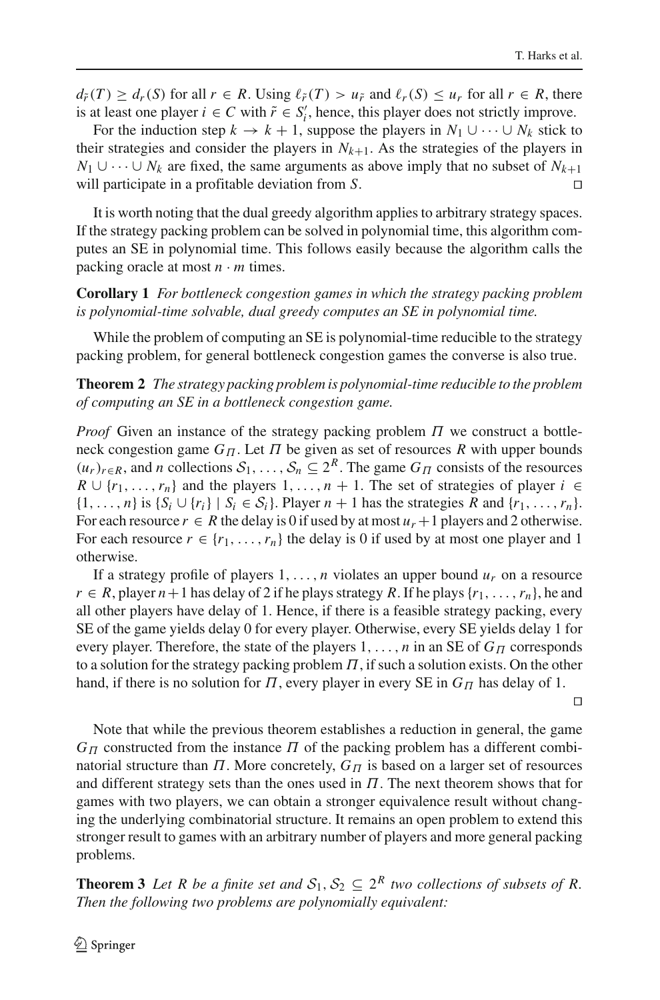$d_{\tilde{r}}(T) \geq d_r(S)$  for all  $r \in R$ . Using  $\ell_{\tilde{r}}(T) > u_{\tilde{r}}$  and  $\ell_r(S) \leq u_r$  for all  $r \in R$ , there is at least one player  $i \in C$  with  $\tilde{r} \in S_i'$ , hence, this player does not strictly improve.

For the induction step  $k \to k+1$ , suppose the players in  $N_1 \cup \cdots \cup N_k$  stick to their strategies and consider the players in  $N_{k+1}$ . As the strategies of the players in *N*<sub>1</sub> ∪  $\cdots$  ∪ *N<sub>k</sub>* are fixed, the same arguments as above imply that no subset of *N<sub>k+1</sub>* will participate in a profitable deviation from *S*. 

It is worth noting that the dual greedy algorithm applies to arbitrary strategy spaces. If the strategy packing problem can be solved in polynomial time, this algorithm computes an SE in polynomial time. This follows easily because the algorithm calls the packing oracle at most  $n \cdot m$  times.

**Corollary 1** *For bottleneck congestion games in which the strategy packing problem is polynomial-time solvable, dual greedy computes an SE in polynomial time.*

While the problem of computing an SE is polynomial-time reducible to the strategy packing problem, for general bottleneck congestion games the converse is also true.

**Theorem 2** *The strategy packing problem is polynomial-time reducible to the problem of computing an SE in a bottleneck congestion game.*

*Proof* Given an instance of the strategy packing problem Π we construct a bottleneck congestion game  $G_{\Pi}$ . Let  $\Pi$  be given as set of resources  $R$  with upper bounds  $(u_r)_{r \in R}$ , and *n* collections  $S_1, \ldots, S_n \subseteq 2^R$ . The game  $G_{\Pi}$  consists of the resources  $R \cup \{r_1, \ldots, r_n\}$  and the players  $1, \ldots, n + 1$ . The set of strategies of player  $i \in$  $\{1,\ldots,n\}$  is  $\{S_i \cup \{r_i\} \mid S_i \in S_i\}$ . Player  $n+1$  has the strategies R and  $\{r_1,\ldots,r_n\}$ . For each resource  $r \in R$  the delay is 0 if used by at most  $u_r + 1$  players and 2 otherwise. For each resource  $r \in \{r_1, \ldots, r_n\}$  the delay is 0 if used by at most one player and 1 otherwise.

If a strategy profile of players  $1, \ldots, n$  violates an upper bound  $u_r$  on a resource  $r \in R$ , player  $n+1$  has delay of 2 if he plays strategy R. If he plays  $\{r_1, \ldots, r_n\}$ , he and all other players have delay of 1. Hence, if there is a feasible strategy packing, every SE of the game yields delay 0 for every player. Otherwise, every SE yields delay 1 for every player. Therefore, the state of the players  $1, \ldots, n$  in an SE of  $G_{\Pi}$  corresponds to a solution for the strategy packing problem  $\Pi$ , if such a solution exists. On the other hand, if there is no solution for  $\Pi$ , every player in every SE in  $G_{\Pi}$  has delay of 1.

 $\Box$ 

Note that while the previous theorem establishes a reduction in general, the game  $G_{\Pi}$  constructed from the instance  $\Pi$  of the packing problem has a different combinatorial structure than  $\Pi$ . More concretely,  $G_{\Pi}$  is based on a larger set of resources and different strategy sets than the ones used in  $\Pi$ . The next theorem shows that for games with two players, we can obtain a stronger equivalence result without changing the underlying combinatorial structure. It remains an open problem to extend this stronger result to games with an arbitrary number of players and more general packing problems.

**Theorem 3** *Let R be a finite set and*  $S_1, S_2 \subseteq 2^R$  *two collections of subsets of R. Then the following two problems are polynomially equivalent:*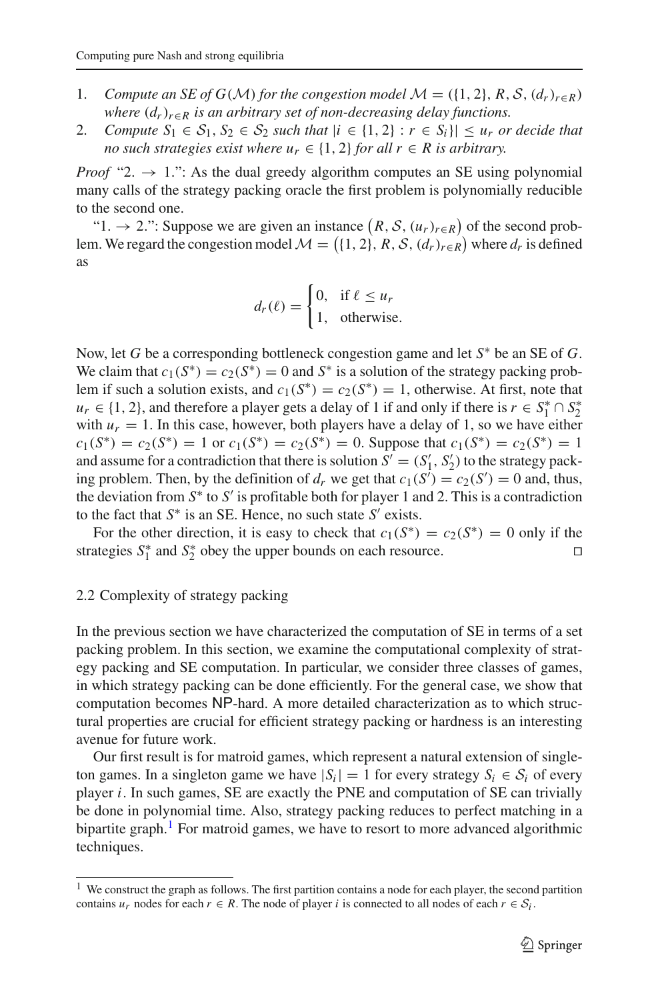- 1. *Compute an SE of G(M) for the congestion model*  $M = (\{1, 2\}, R, S, (d_r)_{r \in R})$ *where*  $(d_r)_{r \in R}$  *is an arbitrary set of non-decreasing delay functions.*
- 2. *Compute*  $S_1 \in S_1$ ,  $S_2 \in S_2$  *such that*  $|i \in \{1, 2\} : r \in S_i\}| \leq u_r$  *or decide that no such strategies exist where*  $u_r \in \{1, 2\}$  *for all*  $r \in R$  *is arbitrary.*

*Proof* "2.  $\rightarrow$  1.": As the dual greedy algorithm computes an SE using polynomial many calls of the strategy packing oracle the first problem is polynomially reducible to the second one.

" $1. \rightarrow 2$ .": Suppose we are given an instance  $(R, S, (u_r)_{r \in R})$  of the second problem. We regard the congestion model  $\mathcal{M} = (\{1, 2\}, R, S, (d_r)_{r \in R})$  where  $d_r$  is defined as

$$
d_r(\ell) = \begin{cases} 0, & \text{if } \ell \le u_r \\ 1, & \text{otherwise.} \end{cases}
$$

Now, let *G* be a corresponding bottleneck congestion game and let *S*<sup>∗</sup> be an SE of *G*. We claim that  $c_1(S^*) = c_2(S^*) = 0$  and  $S^*$  is a solution of the strategy packing problem if such a solution exists, and  $c_1(S^*) = c_2(S^*) = 1$ , otherwise. At first, note that *u<sub>r</sub>* ∈ {1, 2}, and therefore a player gets a delay of 1 if and only if there is  $r \text{ } \in S_1^* \cap S_2^*$ with  $u_r = 1$ . In this case, however, both players have a delay of 1, so we have either  $c_1(S^*) = c_2(S^*) = 1$  or  $c_1(S^*) = c_2(S^*) = 0$ . Suppose that  $c_1(S^*) = c_2(S^*) = 1$ and assume for a contradiction that there is solution  $S' = (S'_1, S'_2)$  to the strategy packing problem. Then, by the definition of  $d_r$  we get that  $c_1(S^i) = c_2(S') = 0$  and, thus, the deviation from  $S^*$  to  $S'$  is profitable both for player 1 and 2. This is a contradiction to the fact that  $S^*$  is an SE. Hence, no such state  $S'$  exists.

For the other direction, it is easy to check that  $c_1(S^*) = c_2(S^*) = 0$  only if the strategies  $S_1^*$  and  $S_2^*$  obey the upper bounds on each resource.

#### <span id="page-8-0"></span>2.2 Complexity of strategy packing

In the previous section we have characterized the computation of SE in terms of a set packing problem. In this section, we examine the computational complexity of strategy packing and SE computation. In particular, we consider three classes of games, in which strategy packing can be done efficiently. For the general case, we show that computation becomes NP-hard. A more detailed characterization as to which structural properties are crucial for efficient strategy packing or hardness is an interesting avenue for future work.

Our first result is for matroid games, which represent a natural extension of singleton games. In a singleton game we have  $|S_i| = 1$  for every strategy  $S_i \in S_i$  of every player *i*. In such games, SE are exactly the PNE and computation of SE can trivially be done in polynomial time. Also, strategy packing reduces to perfect matching in a bipartite graph.<sup>1</sup> For matroid games, we have to resort to more advanced algorithmic techniques.

<span id="page-8-1"></span><sup>&</sup>lt;sup>1</sup> We construct the graph as follows. The first partition contains a node for each player, the second partition contains  $u_r$  nodes for each  $r \in R$ . The node of player *i* is connected to all nodes of each  $r \in S_i$ .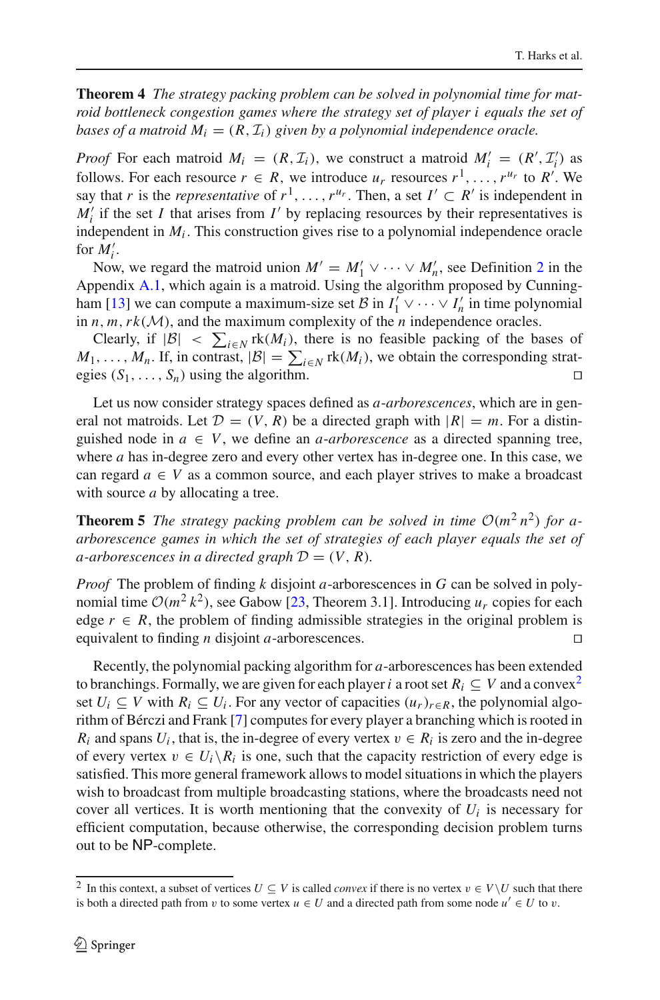**Theorem 4** *The strategy packing problem can be solved in polynomial time for matroid bottleneck congestion games where the strategy set of player i equals the set of bases of a matroid*  $M_i = (R, \mathcal{I}_i)$  given by a polynomial independence oracle.

*Proof* For each matroid  $M_i = (R, \mathcal{I}_i)$ , we construct a matroid  $M'_i = (R', \mathcal{I}'_i)$  as follows. For each resource  $r \in R$ , we introduce  $u_r$  resources  $r^1, \ldots, r^{u_r}$  to  $R'$ . We say that *r* is the *representative* of  $r^1, \ldots, r^{u_r}$ . Then, a set  $I' \subset R'$  is independent in  $M_i'$  if the set *I* that arises from *I'* by replacing resources by their representatives is independent in  $M_i$ . This construction gives rise to a polynomial independence oracle for  $M_i'$ .

Now, we regard the matroid union  $M' = M'_1 \vee \cdots \vee M'_n$ , see Definition [2](#page-18-0) in the Appendix [A.1,](#page-17-1) which again is a matroid. Using the algorithm proposed by Cunning-ham [\[13\]](#page-21-18) we can compute a maximum-size set  $\mathcal{B}$  in  $I'_1 \vee \cdots \vee I'_n$  in time polynomial in  $n, m, rk(\mathcal{M})$ , and the maximum complexity of the  $n$  independence oracles.

Clearly, if  $|\mathcal{B}| < \sum_{i \in \mathbb{N}}$  rk $(M_i)$ , there is no feasible packing of the bases of  $M_1, \ldots, M_n$ . If, in contrast,  $|\mathcal{B}| = \sum_{i \in \mathbb{N}} \text{rk}(M_i)$ , we obtain the corresponding strategies  $(S_1, \ldots, S_n)$  using the algorithm.

Let us now consider strategy spaces defined as *a*-*arborescences*, which are in general not matroids. Let  $\mathcal{D} = (V, R)$  be a directed graph with  $|R| = m$ . For a distinguished node in  $a \in V$ , we define an *a-arborescence* as a directed spanning tree, where *a* has in-degree zero and every other vertex has in-degree one. In this case, we can regard  $a \in V$  as a common source, and each player strives to make a broadcast with source *a* by allocating a tree.

**Theorem 5** *The strategy packing problem can be solved in time*  $O(m^2 n^2)$  *for aarborescence games in which the set of strategies of each player equals the set of a*-*arborescences in a directed graph*  $D = (V, R)$ *.* 

*Proof* The problem of finding *k* disjoint *a*-arborescences in *G* can be solved in polynomial time  $O(m^2 k^2)$ , see Gabow [\[23,](#page-21-19) Theorem 3.1]. Introducing  $u_r$  copies for each edge  $r \in R$ , the problem of finding admissible strategies in the original problem is equivalent to finding *n* disjoint *a*-arborescences. 

Recently, the polynomial packing algorithm for *a*-arborescences has been extended to branchings. Formally, we are given for each player *i* a root set  $R_i \subseteq V$  and a convex<sup>[2](#page-9-0)</sup> set  $U_i \subseteq V$  with  $R_i \subseteq U_i$ . For any vector of capacities  $(u_r)_{r \in R}$ , the polynomial algorithm of Bérczi and Frank [\[7\]](#page-20-6) computes for every player a branching which is rooted in  $R_i$  and spans  $U_i$ , that is, the in-degree of every vertex  $v \in R_i$  is zero and the in-degree of every vertex  $v \in U_i \backslash R_i$  is one, such that the capacity restriction of every edge is satisfied. This more general framework allows to model situations in which the players wish to broadcast from multiple broadcasting stations, where the broadcasts need not cover all vertices. It is worth mentioning that the convexity of  $U_i$  is necessary for efficient computation, because otherwise, the corresponding decision problem turns out to be NP-complete.

<span id="page-9-0"></span><sup>&</sup>lt;sup>2</sup> In this context, a subset of vertices  $U \subseteq V$  is called *convex* if there is no vertex  $v \in V \setminus U$  such that there is both a directed path from v to some vertex  $u \in U$  and a directed path from some node  $u' \in U$  to v.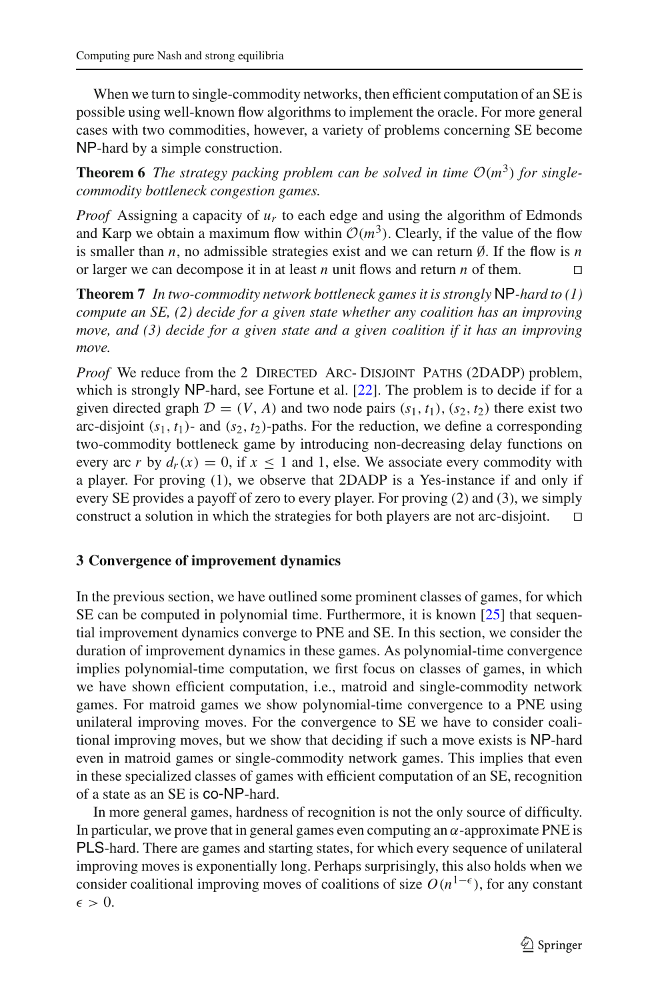When we turn to single-commodity networks, then efficient computation of an SE is possible using well-known flow algorithms to implement the oracle. For more general cases with two commodities, however, a variety of problems concerning SE become NP-hard by a simple construction.

**Theorem 6** *The strategy packing problem can be solved in time*  $O(m^3)$  *for singlecommodity bottleneck congestion games.*

*Proof* Assigning a capacity of *ur* to each edge and using the algorithm of Edmonds and Karp we obtain a maximum flow within  $O(m^3)$ . Clearly, if the value of the flow is smaller than *n*, no admissible strategies exist and we can return ∅. If the flow is *n* or larger we can decompose it in at least *n* unit flows and return *n* of them.

**Theorem 7** *In two-commodity network bottleneck games it is strongly* NP*-hard to (1) compute an SE, (2) decide for a given state whether any coalition has an improving move, and (3) decide for a given state and a given coalition if it has an improving move.*

*Proof* We reduce from the 2 DIRECTED ARC- DISJOINT PATHS (2DADP) problem, which is strongly NP-hard, see Fortune et al. [\[22](#page-21-20)]. The problem is to decide if for a given directed graph  $\mathcal{D} = (V, A)$  and two node pairs  $(s_1, t_1)$ ,  $(s_2, t_2)$  there exist two arc-disjoint  $(s_1, t_1)$ - and  $(s_2, t_2)$ -paths. For the reduction, we define a corresponding two-commodity bottleneck game by introducing non-decreasing delay functions on every arc *r* by  $d_r(x) = 0$ , if  $x \le 1$  and 1, else. We associate every commodity with a player. For proving (1), we observe that 2DADP is a Yes-instance if and only if every SE provides a payoff of zero to every player. For proving (2) and (3), we simply construct a solution in which the strategies for both players are not arc-disjoint.  $\square$ 

## <span id="page-10-0"></span>**3 Convergence of improvement dynamics**

In the previous section, we have outlined some prominent classes of games, for which SE can be computed in polynomial time. Furthermore, it is known  $[25]$  $[25]$  that sequential improvement dynamics converge to PNE and SE. In this section, we consider the duration of improvement dynamics in these games. As polynomial-time convergence implies polynomial-time computation, we first focus on classes of games, in which we have shown efficient computation, i.e., matroid and single-commodity network games. For matroid games we show polynomial-time convergence to a PNE using unilateral improving moves. For the convergence to SE we have to consider coalitional improving moves, but we show that deciding if such a move exists is NP-hard even in matroid games or single-commodity network games. This implies that even in these specialized classes of games with efficient computation of an SE, recognition of a state as an SE is co-NP-hard.

In more general games, hardness of recognition is not the only source of difficulty. In particular, we prove that in general games even computing an  $\alpha$ -approximate PNE is PLS-hard. There are games and starting states, for which every sequence of unilateral improving moves is exponentially long. Perhaps surprisingly, this also holds when we consider coalitional improving moves of coalitions of size  $O(n^{1-\epsilon})$ , for any constant  $\epsilon > 0$ .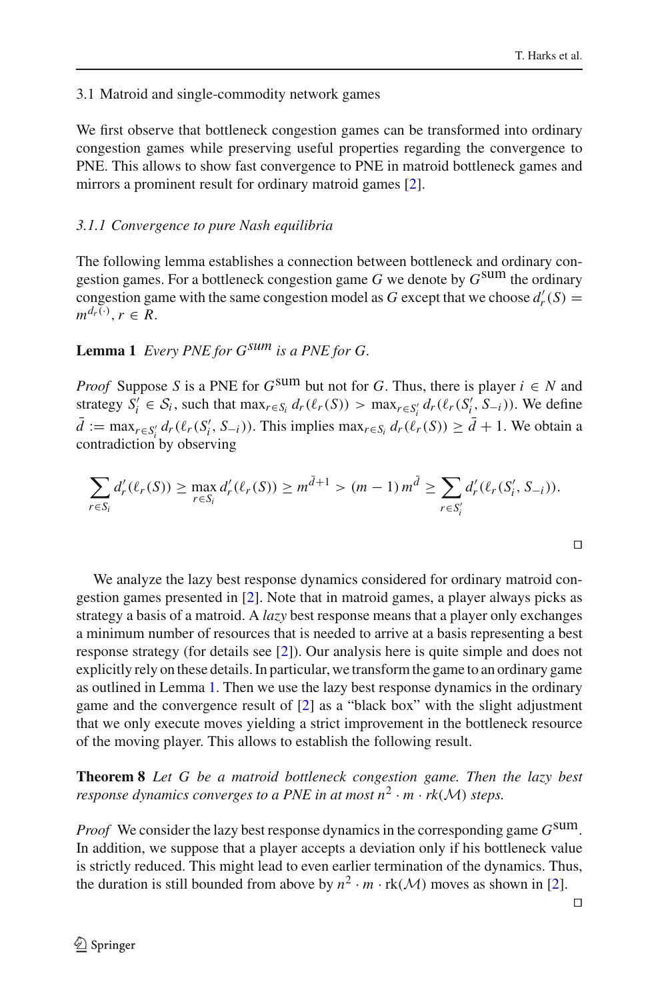## 3.1 Matroid and single-commodity network games

We first observe that bottleneck congestion games can be transformed into ordinary congestion games while preserving useful properties regarding the convergence to PNE. This allows to show fast convergence to PNE in matroid bottleneck games and mirrors a prominent result for ordinary matroid games [\[2\]](#page-20-0).

## *3.1.1 Convergence to pure Nash equilibria*

The following lemma establishes a connection between bottleneck and ordinary congestion games. For a bottleneck congestion game *G* we denote by *G*sum the ordinary congestion game with the same congestion model as *G* except that we choose  $d'_{r}(S) =$  $m^{d_r(\cdot)}, r \in R$ .

## <span id="page-11-0"></span>**Lemma 1** *Every PNE for Gsum is a PNE for G.*

*Proof* Suppose *S* is a PNE for  $G^{\text{sum}}$  but not for *G*. Thus, there is player  $i \in N$  and strategy  $S_i' \in S_i$ , such that  $\max_{r \in S_i} d_r(\ell_r(S)) > \max_{r \in S_i'} d_r(\ell_r(S_i', S_{-i}))$ . We define  $\bar{d} := \max_{r \in S_i'} d_r(\ell_r(S_i', S_{-i}))$ . This implies  $\max_{r \in S_i} d_r(\ell_r(S)) \geq \bar{d} + 1$ . We obtain a contradiction by observing

$$
\sum_{r \in S_i} d'_r(\ell_r(S)) \ge \max_{r \in S_i} d'_r(\ell_r(S)) \ge m^{\bar{d}+1} > (m-1) m^{\bar{d}} \ge \sum_{r \in S'_i} d'_r(\ell_r(S'_i, S_{-i})).
$$

 $\Box$ 

We analyze the lazy best response dynamics considered for ordinary matroid congestion games presented in [\[2](#page-20-0)]. Note that in matroid games, a player always picks as strategy a basis of a matroid. A *lazy* best response means that a player only exchanges a minimum number of resources that is needed to arrive at a basis representing a best response strategy (for details see [\[2](#page-20-0)]). Our analysis here is quite simple and does not explicitly rely on these details. In particular, we transform the game to an ordinary game as outlined in Lemma [1.](#page-11-0) Then we use the lazy best response dynamics in the ordinary game and the convergence result of [\[2](#page-20-0)] as a "black box" with the slight adjustment that we only execute moves yielding a strict improvement in the bottleneck resource of the moving player. This allows to establish the following result.

**Theorem 8** *Let G be a matroid bottleneck congestion game. Then the lazy best response dynamics converges to a PNE in at most*  $n^2 \cdot m \cdot rk(M)$  *steps.* 

*Proof* We consider the lazy best response dynamics in the corresponding game *G*sum. In addition, we suppose that a player accepts a deviation only if his bottleneck value is strictly reduced. This might lead to even earlier termination of the dynamics. Thus, the duration is still bounded from above by  $n^2 \cdot m \cdot \text{rk}(\mathcal{M})$  moves as shown in [\[2\]](#page-20-0).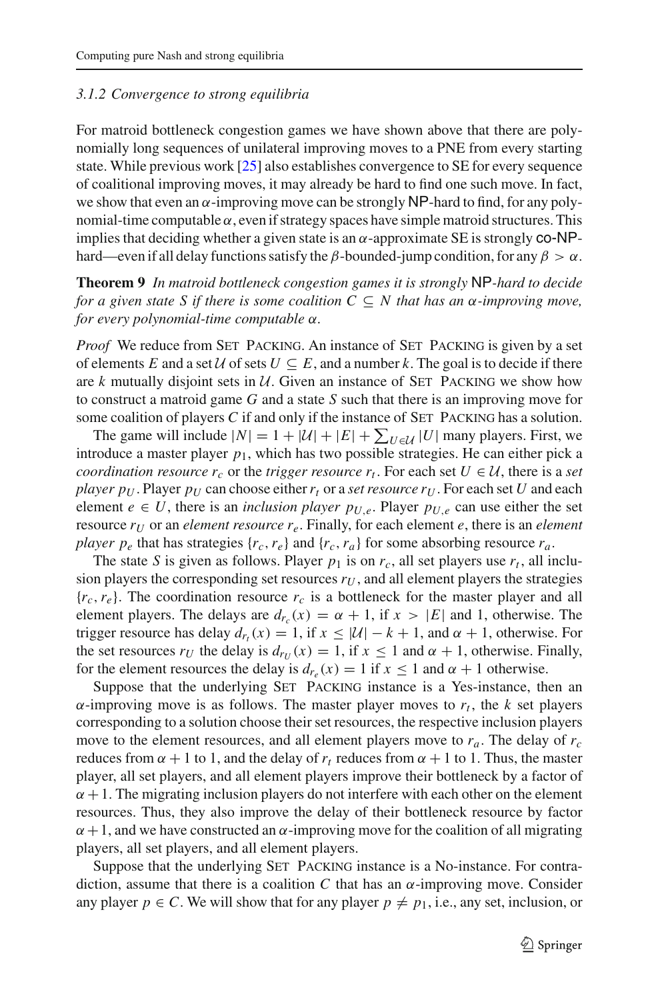## *3.1.2 Convergence to strong equilibria*

For matroid bottleneck congestion games we have shown above that there are polynomially long sequences of unilateral improving moves to a PNE from every starting state. While previous work [\[25](#page-21-5)] also establishes convergence to SE for every sequence of coalitional improving moves, it may already be hard to find one such move. In fact, we show that even an  $\alpha$ -improving move can be strongly NP-hard to find, for any polynomial-time computable  $\alpha$ , even if strategy spaces have simple matroid structures. This implies that deciding whether a given state is an  $\alpha$ -approximate SE is strongly co-NPhard—even if all delay functions satisfy the  $\beta$ -bounded-jump condition, for any  $\beta > \alpha$ .

<span id="page-12-0"></span>**Theorem 9** *In matroid bottleneck congestion games it is strongly* NP*-hard to decide for a given state S if there is some coalition*  $C \subseteq N$  *that has an*  $\alpha$ *-improving move, for every polynomial-time computable* α*.*

*Proof* We reduce from SET PACKING. An instance of SET PACKING is given by a set of elements *E* and a set *U* of sets  $U \subseteq E$ , and a number k. The goal is to decide if there are  $k$  mutually disjoint sets in  $U$ . Given an instance of SET PACKING we show how to construct a matroid game *G* and a state *S* such that there is an improving move for some coalition of players  $C$  if and only if the instance of  $SET$  PACKING has a solution.

The game will include  $|N| = 1 + |\mathcal{U}| + |E| + \sum_{U \in \mathcal{U}} |U|$  many players. First, we introduce a master player  $p_1$ , which has two possible strategies. He can either pick a *coordination resource*  $r_c$  or the *trigger resource*  $r_t$ . For each set  $U \in \mathcal{U}$ , there is a set *player p<sub>U</sub>*. Player  $p_U$  can choose either  $r_t$  or a *set resource r<sub>U</sub>*. For each set *U* and each element  $e \in U$ , there is an *inclusion player*  $p_{U,e}$ . Player  $p_{U,e}$  can use either the set resource  $r_U$  or an *element resource*  $r_e$ . Finally, for each element  $e$ , there is an *element player p<sub>e</sub>* that has strategies  $\{r_c, r_e\}$  and  $\{r_c, r_a\}$  for some absorbing resource  $r_a$ .

The state *S* is given as follows. Player  $p_1$  is on  $r_c$ , all set players use  $r_t$ , all inclusion players the corresponding set resources  $r_U$ , and all element players the strategies  ${r_c, r_e}$ . The coordination resource  $r_c$  is a bottleneck for the master player and all element players. The delays are  $d_{r_c}(x) = \alpha + 1$ , if  $x > |E|$  and 1, otherwise. The trigger resource has delay  $d_r(x) = 1$ , if  $x \le |\mathcal{U}| - k + 1$ , and  $\alpha + 1$ , otherwise. For the set resources  $r_U$  the delay is  $d_{\tau_U}(x) = 1$ , if  $x \le 1$  and  $\alpha + 1$ , otherwise. Finally, for the element resources the delay is  $d_{r_e}(x) = 1$  if  $x \le 1$  and  $\alpha + 1$  otherwise.

Suppose that the underlying SET PACKING instance is a Yes-instance, then an  $\alpha$ -improving move is as follows. The master player moves to  $r_t$ , the *k* set players corresponding to a solution choose their set resources, the respective inclusion players move to the element resources, and all element players move to *ra*. The delay of *rc* reduces from  $\alpha + 1$  to 1, and the delay of  $r_t$  reduces from  $\alpha + 1$  to 1. Thus, the master player, all set players, and all element players improve their bottleneck by a factor of  $\alpha + 1$ . The migrating inclusion players do not interfere with each other on the element resources. Thus, they also improve the delay of their bottleneck resource by factor  $\alpha + 1$ , and we have constructed an  $\alpha$ -improving move for the coalition of all migrating players, all set players, and all element players.

Suppose that the underlying Set Packing instance is a No-instance. For contradiction, assume that there is a coalition C that has an  $\alpha$ -improving move. Consider any player  $p \in C$ . We will show that for any player  $p \neq p_1$ , i.e., any set, inclusion, or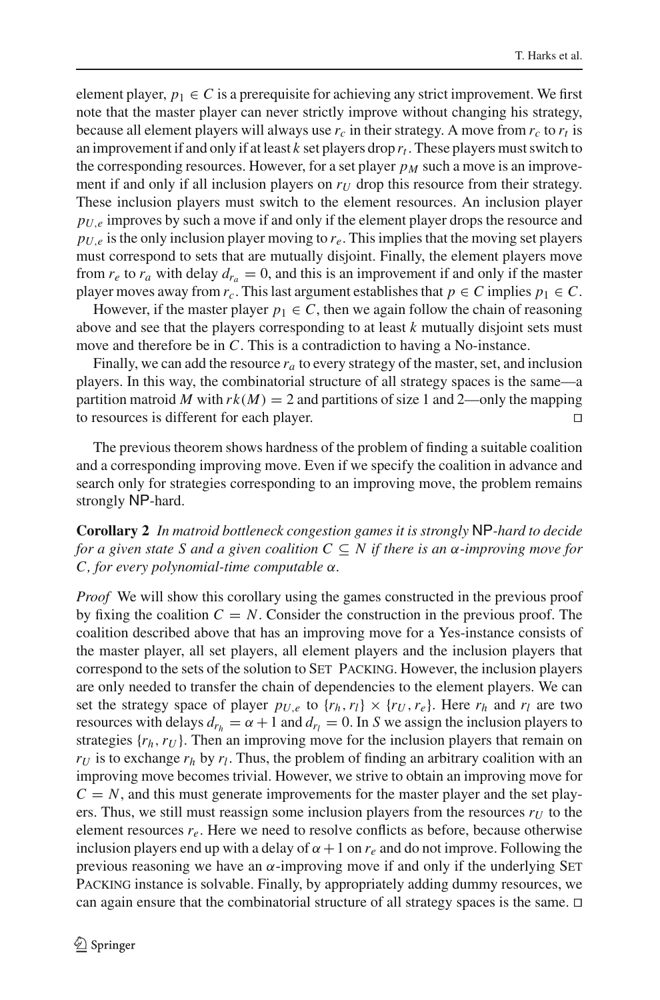element player,  $p_1 \in C$  is a prerequisite for achieving any strict improvement. We first note that the master player can never strictly improve without changing his strategy, because all element players will always use  $r_c$  in their strategy. A move from  $r_c$  to  $r_t$  is an improvement if and only if at least  $k$  set players drop  $r_t$ . These players must switch to the corresponding resources. However, for a set player  $p<sub>M</sub>$  such a move is an improvement if and only if all inclusion players on  $r_U$  drop this resource from their strategy. These inclusion players must switch to the element resources. An inclusion player  $p_{U,e}$  improves by such a move if and only if the element player drops the resource and  $p_{U,e}$  is the only inclusion player moving to  $r_e$ . This implies that the moving set players must correspond to sets that are mutually disjoint. Finally, the element players move from  $r_e$  to  $r_a$  with delay  $d_{r_a} = 0$ , and this is an improvement if and only if the master player moves away from  $r_c$ . This last argument establishes that  $p \in C$  implies  $p_1 \in C$ .

However, if the master player  $p_1 \in C$ , then we again follow the chain of reasoning above and see that the players corresponding to at least *k* mutually disjoint sets must move and therefore be in *C*. This is a contradiction to having a No-instance.

Finally, we can add the resource  $r_a$  to every strategy of the master, set, and inclusion players. In this way, the combinatorial structure of all strategy spaces is the same—a partition matroid *M* with  $rk(M) = 2$  and partitions of size 1 and 2—only the mapping to resources is different for each player. 

The previous theorem shows hardness of the problem of finding a suitable coalition and a corresponding improving move. Even if we specify the coalition in advance and search only for strategies corresponding to an improving move, the problem remains strongly NP-hard.

<span id="page-13-0"></span>**Corollary 2** *In matroid bottleneck congestion games it is strongly* NP*-hard to decide for a given state S and a given coalition C* ⊆ *N if there is an* α*-improving move for C, for every polynomial-time computable* α*.*

*Proof* We will show this corollary using the games constructed in the previous proof by fixing the coalition  $C = N$ . Consider the construction in the previous proof. The coalition described above that has an improving move for a Yes-instance consists of the master player, all set players, all element players and the inclusion players that correspond to the sets of the solution to Set Packing. However, the inclusion players are only needed to transfer the chain of dependencies to the element players. We can set the strategy space of player  $p_{U,e}$  to  $\{r_h, r_l\} \times \{r_U, r_e\}$ . Here  $r_h$  and  $r_l$  are two resources with delays  $d_{r_h} = \alpha + 1$  and  $d_{r_l} = 0$ . In *S* we assign the inclusion players to strategies  $\{r_h, r_U\}$ . Then an improving move for the inclusion players that remain on  $r_U$  is to exchange  $r_h$  by  $r_l$ . Thus, the problem of finding an arbitrary coalition with an improving move becomes trivial. However, we strive to obtain an improving move for  $C = N$ , and this must generate improvements for the master player and the set players. Thus, we still must reassign some inclusion players from the resources  $r_U$  to the element resources  $r_e$ . Here we need to resolve conflicts as before, because otherwise inclusion players end up with a delay of  $\alpha + 1$  on  $r_e$  and do not improve. Following the previous reasoning we have an  $\alpha$ -improving move if and only if the underlying SET Packing instance is solvable. Finally, by appropriately adding dummy resources, we can again ensure that the combinatorial structure of all strategy spaces is the same.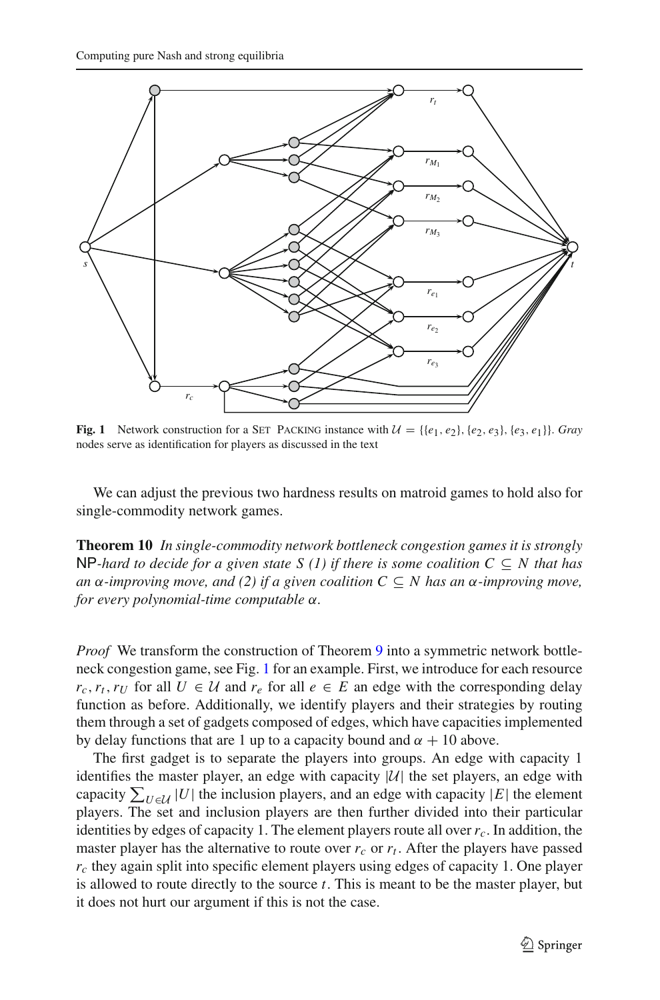

<span id="page-14-0"></span>**Fig. 1** Network construction for a SET PACKING instance with  $\mathcal{U} = \{\{e_1, e_2\}, \{e_2, e_3\}, \{e_3, e_1\}\}\$ . *Gray* nodes serve as identification for players as discussed in the text

We can adjust the previous two hardness results on matroid games to hold also for single-commodity network games.

**Theorem 10** *In single-commodity network bottleneck congestion games it is strongly* NP-hard to decide for a given state S (1) if there is some coalition  $C \subseteq N$  that has *an* α*-improving move, and (2) if a given coalition*  $C ⊆ N$  *has an* α*-improving move, for every polynomial-time computable* α*.*

*Proof* We transform the construction of Theorem [9](#page-12-0) into a symmetric network bottleneck congestion game, see Fig. [1](#page-14-0) for an example. First, we introduce for each resource  $r_c, r_t, r_U$  for all  $U \in \mathcal{U}$  and  $r_e$  for all  $e \in E$  an edge with the corresponding delay function as before. Additionally, we identify players and their strategies by routing them through a set of gadgets composed of edges, which have capacities implemented by delay functions that are 1 up to a capacity bound and  $\alpha + 10$  above.

The first gadget is to separate the players into groups. An edge with capacity 1 identifies the master player, an edge with capacity  $|\mathcal{U}|$  the set players, an edge with capacity  $\sum_{U \in \mathcal{U}} |U|$  the inclusion players, and an edge with capacity  $|E|$  the element players. The set and inclusion players are then further divided into their particular identities by edges of capacity 1. The element players route all over  $r_c$ . In addition, the master player has the alternative to route over  $r_c$  or  $r_t$ . After the players have passed *rc* they again split into specific element players using edges of capacity 1. One player is allowed to route directly to the source *t*. This is meant to be the master player, but it does not hurt our argument if this is not the case.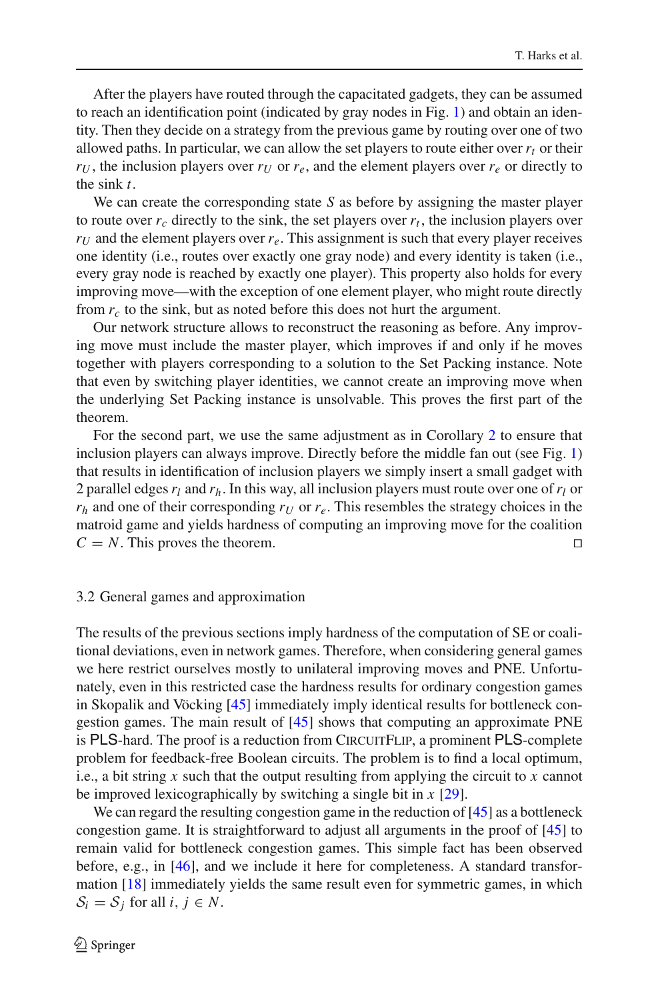After the players have routed through the capacitated gadgets, they can be assumed to reach an identification point (indicated by gray nodes in Fig. [1\)](#page-14-0) and obtain an identity. Then they decide on a strategy from the previous game by routing over one of two allowed paths. In particular, we can allow the set players to route either over  $r_t$  or their  $r_U$ , the inclusion players over  $r_U$  or  $r_e$ , and the element players over  $r_e$  or directly to the sink *t*.

We can create the corresponding state *S* as before by assigning the master player to route over  $r_c$  directly to the sink, the set players over  $r_t$ , the inclusion players over  $r_U$  and the element players over  $r_e$ . This assignment is such that every player receives one identity (i.e., routes over exactly one gray node) and every identity is taken (i.e., every gray node is reached by exactly one player). This property also holds for every improving move—with the exception of one element player, who might route directly from *rc* to the sink, but as noted before this does not hurt the argument.

Our network structure allows to reconstruct the reasoning as before. Any improving move must include the master player, which improves if and only if he moves together with players corresponding to a solution to the Set Packing instance. Note that even by switching player identities, we cannot create an improving move when the underlying Set Packing instance is unsolvable. This proves the first part of the theorem.

For the second part, we use the same adjustment as in Corollary [2](#page-13-0) to ensure that inclusion players can always improve. Directly before the middle fan out (see Fig. [1\)](#page-14-0) that results in identification of inclusion players we simply insert a small gadget with 2 parallel edges  $r_l$  and  $r_h$ . In this way, all inclusion players must route over one of  $r_l$  or  $r_h$  and one of their corresponding  $r_U$  or  $r_e$ . This resembles the strategy choices in the matroid game and yields hardness of computing an improving move for the coalition  $C = N$ . This proves the theorem.

#### <span id="page-15-0"></span>3.2 General games and approximation

The results of the previous sections imply hardness of the computation of SE or coalitional deviations, even in network games. Therefore, when considering general games we here restrict ourselves mostly to unilateral improving moves and PNE. Unfortunately, even in this restricted case the hardness results for ordinary congestion games in Skopalik and Vöcking [\[45\]](#page-22-2) immediately imply identical results for bottleneck congestion games. The main result of [\[45\]](#page-22-2) shows that computing an approximate PNE is PLS-hard. The proof is a reduction from CIRCUITFLIP, a prominent PLS-complete problem for feedback-free Boolean circuits. The problem is to find a local optimum, i.e., a bit string *x* such that the output resulting from applying the circuit to *x* cannot be improved lexicographically by switching a single bit in *x* [\[29](#page-21-21)].

We can regard the resulting congestion game in the reduction of [\[45](#page-22-2)] as a bottleneck congestion game. It is straightforward to adjust all arguments in the proof of [\[45](#page-22-2)] to remain valid for bottleneck congestion games. This simple fact has been observed before, e.g., in [\[46\]](#page-22-12), and we include it here for completeness. A standard transformation [\[18](#page-21-0)] immediately yields the same result even for symmetric games, in which  $S_i = S_j$  for all *i*,  $j \in N$ .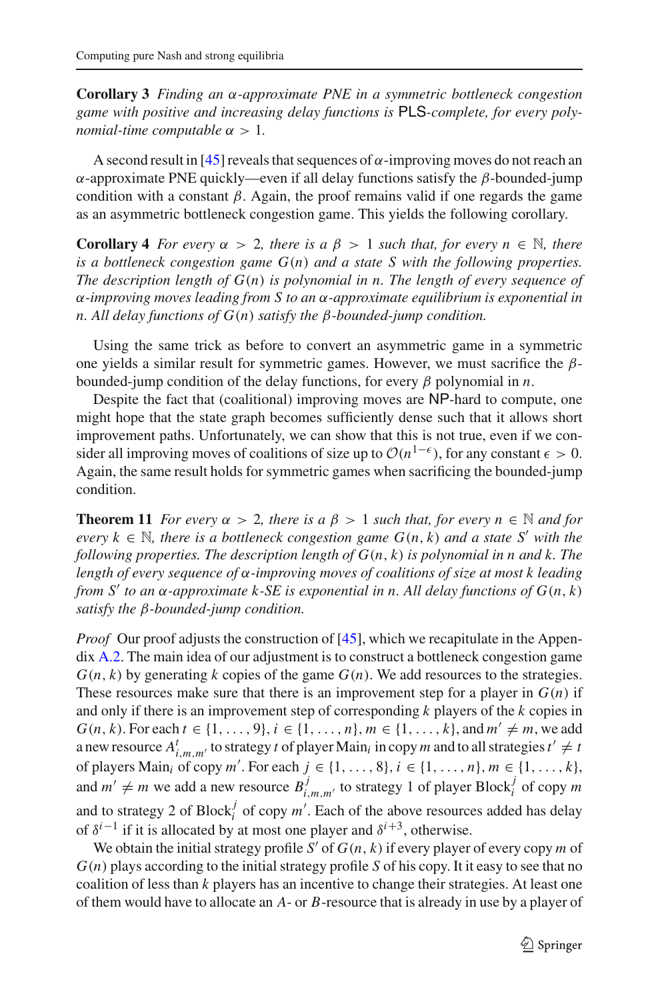**Corollary 3** *Finding an* α*-approximate PNE in a symmetric bottleneck congestion game with positive and increasing delay functions is* PLS*-complete, for every polynomial-time computable* α > 1*.*

A second result in [\[45\]](#page-22-2) reveals that sequences of  $\alpha$ -improving moves do not reach an α-approximate PNE quickly—even if all delay functions satisfy the β-bounded-jump condition with a constant  $\beta$ . Again, the proof remains valid if one regards the game as an asymmetric bottleneck congestion game. This yields the following corollary.

**Corollary 4** *For every*  $\alpha > 2$ *, there is a*  $\beta > 1$  *such that, for every*  $n \in \mathbb{N}$ *, there is a bottleneck congestion game G*(*n*) *and a state S with the following properties. The description length of G*(*n*) *is polynomial in n. The length of every sequence of* α*-improving moves leading from S to an* α*-approximate equilibrium is exponential in n. All delay functions of G*(*n*) *satisfy the* β*-bounded-jump condition.*

Using the same trick as before to convert an asymmetric game in a symmetric one yields a similar result for symmetric games. However, we must sacrifice the  $\beta$ bounded-jump condition of the delay functions, for every  $\beta$  polynomial in *n*.

Despite the fact that (coalitional) improving moves are NP-hard to compute, one might hope that the state graph becomes sufficiently dense such that it allows short improvement paths. Unfortunately, we can show that this is not true, even if we consider all improving moves of coalitions of size up to  $O(n^{1-\epsilon})$ , for any constant  $\epsilon > 0$ . Again, the same result holds for symmetric games when sacrificing the bounded-jump condition.

**Theorem 11** *For every*  $\alpha > 2$ *, there is a*  $\beta > 1$  *such that, for every*  $n \in \mathbb{N}$  *and for every*  $k \in \mathbb{N}$ , there is a bottleneck congestion game  $G(n, k)$  and a state S' with the *following properties. The description length of G*(*n*, *k*) *is polynomial in n and k. The length of every sequence of* α*-improving moves of coalitions of size at most k leading from S' to an*  $\alpha$ *-approximate*  $k$ *-SE is exponential in n. All delay functions of*  $G(n, k)$ *satisfy the* β*-bounded-jump condition.*

*Proof* Our proof adjusts the construction of [\[45\]](#page-22-2), which we recapitulate in the Appendix [A.2.](#page-18-1) The main idea of our adjustment is to construct a bottleneck congestion game  $G(n, k)$  by generating *k* copies of the game  $G(n)$ . We add resources to the strategies. These resources make sure that there is an improvement step for a player in  $G(n)$  if and only if there is an improvement step of corresponding *k* players of the *k* copies in *G*(*n*, *k*). For each *t* ∈ {1, ..., 9}, *i* ∈ {1, ..., *n*}, *m* ∈ {1, ..., *k*}, and *m*<sup>'</sup>  $\neq$  *m*, we add a new resource  $A^t_{i,m,m'}$  to strategy *t* of player Main<sub>*i*</sub> in copy *m* and to all strategies  $t' \neq t$ of players Main<sub>i</sub> of copy *m'*. For each  $j \in \{1, ..., 8\}, i \in \{1, ..., n\}, m \in \{1, ..., k\}$ , and  $m' \neq m$  we add a new resource  $B_{i,m,m'}^j$  to strategy 1 of player Block<sub>i</sub><sup>'</sup> of copy *m* and to strategy 2 of Block<sup>*j*</sup> of copy  $m'$ . Each of the above resources added has delay of  $\delta^{i-1}$  if it is allocated by at most one player and  $\delta^{i+3}$ , otherwise.

We obtain the initial strategy profile *S'* of  $G(n, k)$  if every player of every copy *m* of *G*(*n*) plays according to the initial strategy profile *S* of his copy. It it easy to see that no coalition of less than *k* players has an incentive to change their strategies. At least one of them would have to allocate an *A*- or *B*-resource that is already in use by a player of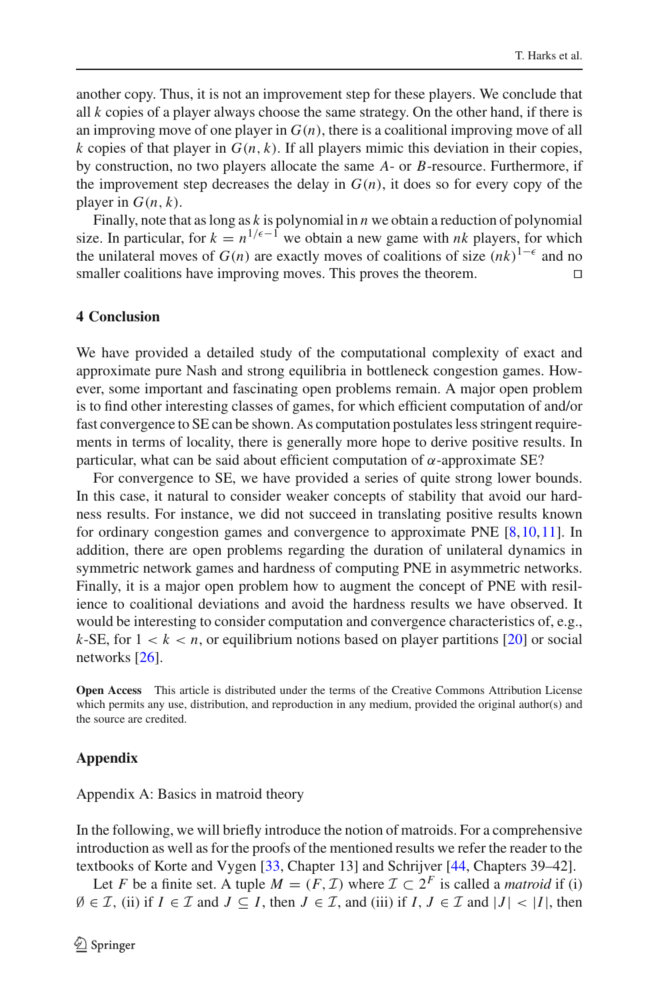another copy. Thus, it is not an improvement step for these players. We conclude that all *k* copies of a player always choose the same strategy. On the other hand, if there is an improving move of one player in  $G(n)$ , there is a coalitional improving move of all  $k$  copies of that player in  $G(n, k)$ . If all players mimic this deviation in their copies, by construction, no two players allocate the same *A*- or *B*-resource. Furthermore, if the improvement step decreases the delay in  $G(n)$ , it does so for every copy of the player in  $G(n, k)$ .

Finally, note that as long as *k* is polynomial in *n* we obtain a reduction of polynomial size. In particular, for  $k = n^{1/\epsilon - 1}$  we obtain a new game with *nk* players, for which the unilateral moves of  $G(n)$  are exactly moves of coalitions of size  $(nk)^{1-\epsilon}$  and no smaller coalitions have improving moves. This proves the theorem.

#### <span id="page-17-0"></span>**4 Conclusion**

We have provided a detailed study of the computational complexity of exact and approximate pure Nash and strong equilibria in bottleneck congestion games. However, some important and fascinating open problems remain. A major open problem is to find other interesting classes of games, for which efficient computation of and/or fast convergence to SE can be shown. As computation postulates less stringent requirements in terms of locality, there is generally more hope to derive positive results. In particular, what can be said about efficient computation of  $\alpha$ -approximate SE?

For convergence to SE, we have provided a series of quite strong lower bounds. In this case, it natural to consider weaker concepts of stability that avoid our hardness results. For instance, we did not succeed in translating positive results known for ordinary congestion games and convergence to approximate PNE [\[8](#page-21-1)[,10](#page-21-22),[11\]](#page-21-2). In addition, there are open problems regarding the duration of unilateral dynamics in symmetric network games and hardness of computing PNE in asymmetric networks. Finally, it is a major open problem how to augment the concept of PNE with resilience to coalitional deviations and avoid the hardness results we have observed. It would be interesting to consider computation and convergence characteristics of, e.g., *k*-SE, for  $1 < k < n$ , or equilibrium notions based on player partitions [\[20](#page-21-23)] or social networks [\[26\]](#page-21-24).

**Open Access** This article is distributed under the terms of the Creative Commons Attribution License which permits any use, distribution, and reproduction in any medium, provided the original author(s) and the source are credited.

#### **Appendix**

#### <span id="page-17-1"></span>Appendix A: Basics in matroid theory

In the following, we will briefly introduce the notion of matroids. For a comprehensive introduction as well as for the proofs of the mentioned results we refer the reader to the textbooks of Korte and Vygen [\[33,](#page-21-17) Chapter 13] and Schrijver [\[44](#page-22-11), Chapters 39–42].

Let *F* be a finite set. A tuple  $M = (F, \mathcal{I})$  where  $\mathcal{I} \subset 2^F$  is called a *matroid* if (i)  $\emptyset$  ∈ *I*, (ii) if *I* ∈ *I* and *J* ⊆ *I*, then *J* ∈ *I*, and (iii) if *I*, *J* ∈ *I* and  $|J|$  <  $|I|$ , then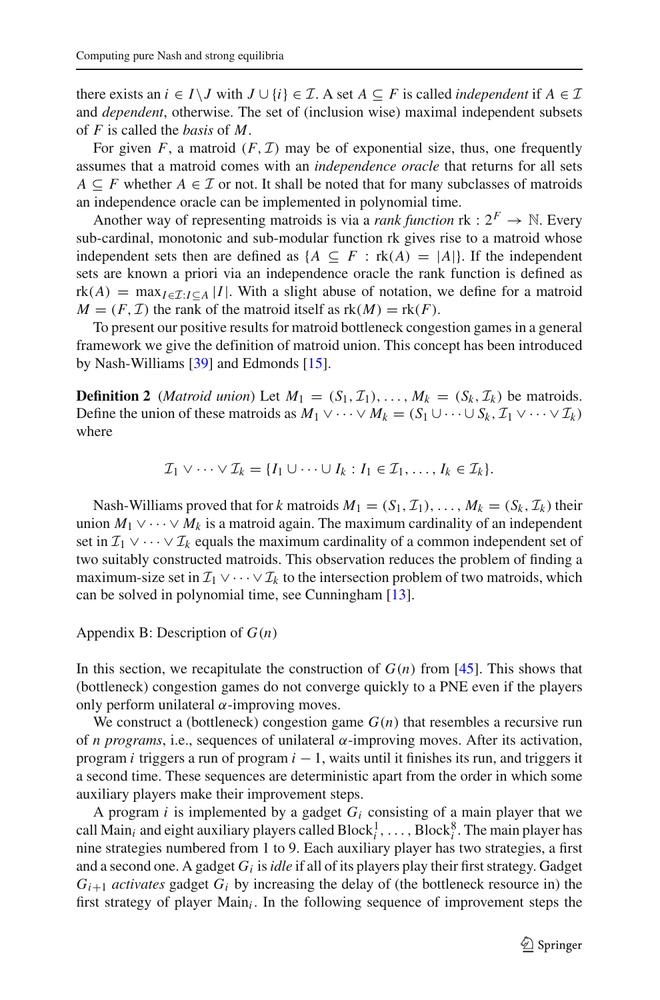there exists an  $i \in I \setminus J$  with  $J \cup \{i\} \in \mathcal{I}$ . A set  $A \subseteq F$  is called *independent* if  $A \in \mathcal{I}$ and *dependent*, otherwise. The set of (inclusion wise) maximal independent subsets of *F* is called the *basis* of *M*.

For given *F*, a matroid  $(F, \mathcal{I})$  may be of exponential size, thus, one frequently assumes that a matroid comes with an *independence oracle* that returns for all sets *A* ⊆ *F* whether *A* ∈ *I* or not. It shall be noted that for many subclasses of matroids an independence oracle can be implemented in polynomial time.

Another way of representing matroids is via a *rank function*  $\text{rk}: 2^F \rightarrow \mathbb{N}$ . Every sub-cardinal, monotonic and sub-modular function rk gives rise to a matroid whose independent sets then are defined as  ${A \subseteq F : rk(A) = |A|}.$  If the independent sets are known a priori via an independence oracle the rank function is defined as  $rk(A) = \max_{I \in \mathcal{I}: I \subseteq A} |I|$ . With a slight abuse of notation, we define for a matroid  $M = (F, \mathcal{I})$  the rank of the matroid itself as  $rk(M) = rk(F)$ .

To present our positive results for matroid bottleneck congestion games in a general framework we give the definition of matroid union. This concept has been introduced by Nash-Williams [\[39\]](#page-22-13) and Edmonds [\[15\]](#page-21-25).

<span id="page-18-0"></span>**Definition 2** (*Matroid union*) Let  $M_1 = (S_1, \mathcal{I}_1), \ldots, M_k = (S_k, \mathcal{I}_k)$  be matroids. Define the union of these matroids as  $M_1 \vee \cdots \vee M_k = (S_1 \cup \cdots \cup S_k, T_1 \vee \cdots \vee T_k)$ where

$$
\mathcal{I}_1 \vee \cdots \vee \mathcal{I}_k = \{I_1 \cup \cdots \cup I_k : I_1 \in \mathcal{I}_1, \ldots, I_k \in \mathcal{I}_k\}.
$$

Nash-Williams proved that for *k* matroids  $M_1 = (S_1, \mathcal{I}_1), \ldots, M_k = (S_k, \mathcal{I}_k)$  their union  $M_1 \vee \cdots \vee M_k$  is a matroid again. The maximum cardinality of an independent set in  $\mathcal{I}_1 \vee \cdots \vee \mathcal{I}_k$  equals the maximum cardinality of a common independent set of two suitably constructed matroids. This observation reduces the problem of finding a maximum-size set in  $\mathcal{I}_1 \vee \cdots \vee \mathcal{I}_k$  to the intersection problem of two matroids, which can be solved in polynomial time, see Cunningham [\[13\]](#page-21-18).

#### <span id="page-18-1"></span>Appendix B: Description of *G*(*n*)

In this section, we recapitulate the construction of  $G(n)$  from [\[45\]](#page-22-2). This shows that (bottleneck) congestion games do not converge quickly to a PNE even if the players only perform unilateral  $\alpha$ -improving moves.

We construct a (bottleneck) congestion game  $G(n)$  that resembles a recursive run of *n programs*, i.e., sequences of unilateral α-improving moves. After its activation, program *i* triggers a run of program *i* − 1, waits until it finishes its run, and triggers it a second time. These sequences are deterministic apart from the order in which some auxiliary players make their improvement steps.

A program *i* is implemented by a gadget *Gi* consisting of a main player that we call Main<sub>i</sub> and eight auxiliary players called  $Block_i^1, \ldots$ ,  $Block_i^8$ . The main player has nine strategies numbered from 1 to 9. Each auxiliary player has two strategies, a first and a second one. A gadget *Gi* is*idle* if all of its players play their first strategy. Gadget  $G_{i+1}$  *activates* gadget  $G_i$  by increasing the delay of (the bottleneck resource in) the first strategy of player Main*i* . In the following sequence of improvement steps the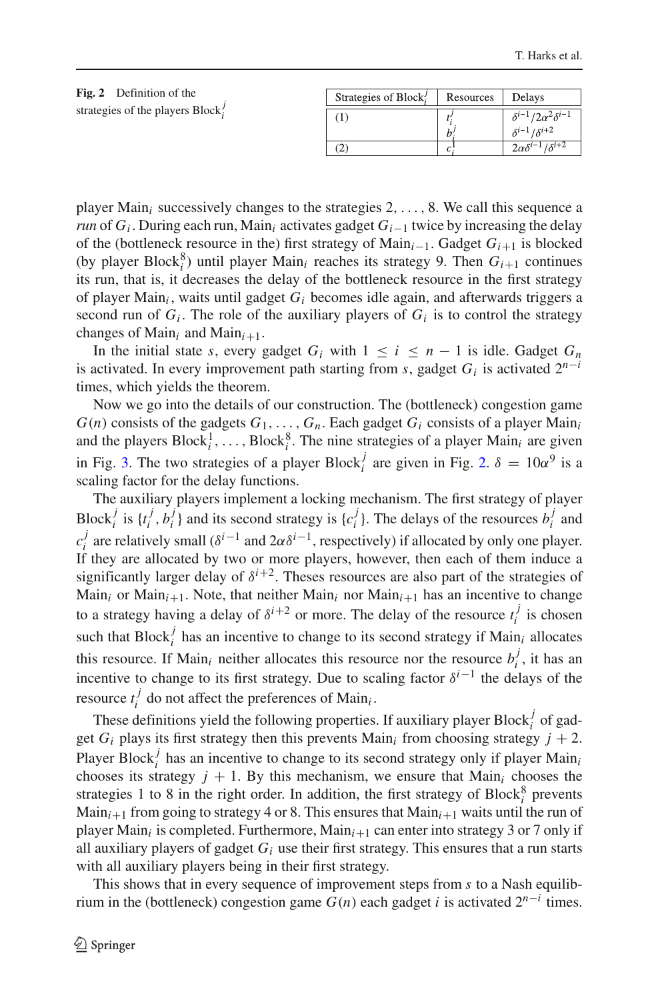<span id="page-19-0"></span>

| Fig. 2 Definition of the         | Strategies of Block! | Resources              | Delays                                                              |
|----------------------------------|----------------------|------------------------|---------------------------------------------------------------------|
| strategies of the players Block? | T                    | h                      | $\delta^{i-1}/2\alpha^2\delta^{i-1}$<br>$\delta^{i-1}/\delta^{i+2}$ |
|                                  | 2                    | $\mathcal{L}^{\prime}$ | $2\alpha\delta^{i-1}/\delta^{i+2}$                                  |

player Main*i* successively changes to the strategies 2,..., 8. We call this sequence a *run* of *G<sub>i</sub>*. During each run, Main<sub>i</sub> activates gadget *G<sub>i−1</sub>* twice by increasing the delay of the (bottleneck resource in the) first strategy of Main*i*<sup>−</sup>1. Gadget *Gi*<sup>+</sup><sup>1</sup> is blocked (by player Block $^8_i$ ) until player Main<sub>*i*</sub> reaches its strategy 9. Then  $G_{i+1}$  continues its run, that is, it decreases the delay of the bottleneck resource in the first strategy of player Main*<sup>i</sup>* , waits until gadget *Gi* becomes idle again, and afterwards triggers a second run of  $G_i$ . The role of the auxiliary players of  $G_i$  is to control the strategy changes of Main<sub>*i*</sub> and Main<sub>*i*+1</sub>.

In the initial state *s*, every gadget  $G_i$  with  $1 \leq i \leq n-1$  is idle. Gadget  $G_n$ is activated. In every improvement path starting from *s*, gadget  $G_i$  is activated  $2^{n-i}$ times, which yields the theorem.

Now we go into the details of our construction. The (bottleneck) congestion game  $G(n)$  consists of the gadgets  $G_1, \ldots, G_n$ . Each gadget  $G_i$  consists of a player Main<sub>i</sub> and the players  $Block_i^1, \ldots, Block_i^8$ . The nine strategies of a player  $Main_i$  are given in Fig. [3.](#page-20-7) The two strategies of a player Block<sub>i</sub><sup>*j*</sup> are given in Fig. [2.](#page-19-0)  $\delta = 10\alpha^9$  is a scaling factor for the delay functions.

The auxiliary players implement a locking mechanism. The first strategy of player Block<sup>*j*</sup> is  $\{t_i^j, b_i^j\}$  and its second strategy is  $\{c_i^j\}$ . The delays of the resources  $b_i^j$  and  $c_i^j$  are relatively small ( $\delta^{i-1}$  and  $2\alpha\delta^{i-1}$ , respectively) if allocated by only one player. If they are allocated by two or more players, however, then each of them induce a significantly larger delay of  $\delta^{i+2}$ . Theses resources are also part of the strategies of Main<sub>*i*</sub> or Main<sub>*i*+1</sub>. Note, that neither Main<sub>*i*</sub> nor Main<sub>*i*+1</sub> has an incentive to change to a strategy having a delay of  $\delta^{i+2}$  or more. The delay of the resource  $t_i^j$  is chosen such that  $Block_i^j$  has an incentive to change to its second strategy if  $Main_i$  allocates this resource. If Main<sub>*i*</sub> neither allocates this resource nor the resource  $b_i^j$ , it has an incentive to change to its first strategy. Due to scaling factor  $\delta^{i-1}$  the delays of the resource  $t_i^j$  do not affect the preferences of Main<sub>*i*</sub>.

These definitions yield the following properties. If auxiliary player  $Block_i^j$  of gadget  $G_i$  plays its first strategy then this prevents Main<sub>i</sub> from choosing strategy  $j + 2$ . Player Block<sup>*j*</sup> has an incentive to change to its second strategy only if player Main<sub>*i*</sub> chooses its strategy  $j + 1$ . By this mechanism, we ensure that Main<sub>i</sub> chooses the strategies 1 to 8 in the right order. In addition, the first strategy of  $Block_i^8$  prevents Main<sub>i+1</sub> from going to strategy 4 or 8. This ensures that  $Main_{i+1}$  waits until the run of player Main<sub>i</sub> is completed. Furthermore, Main<sub>i+1</sub> can enter into strategy 3 or 7 only if all auxiliary players of gadget  $G_i$  use their first strategy. This ensures that a run starts with all auxiliary players being in their first strategy.

This shows that in every sequence of improvement steps from *s* to a Nash equilibrium in the (bottleneck) congestion game  $G(n)$  each gadget *i* is activated  $2^{n-i}$  times.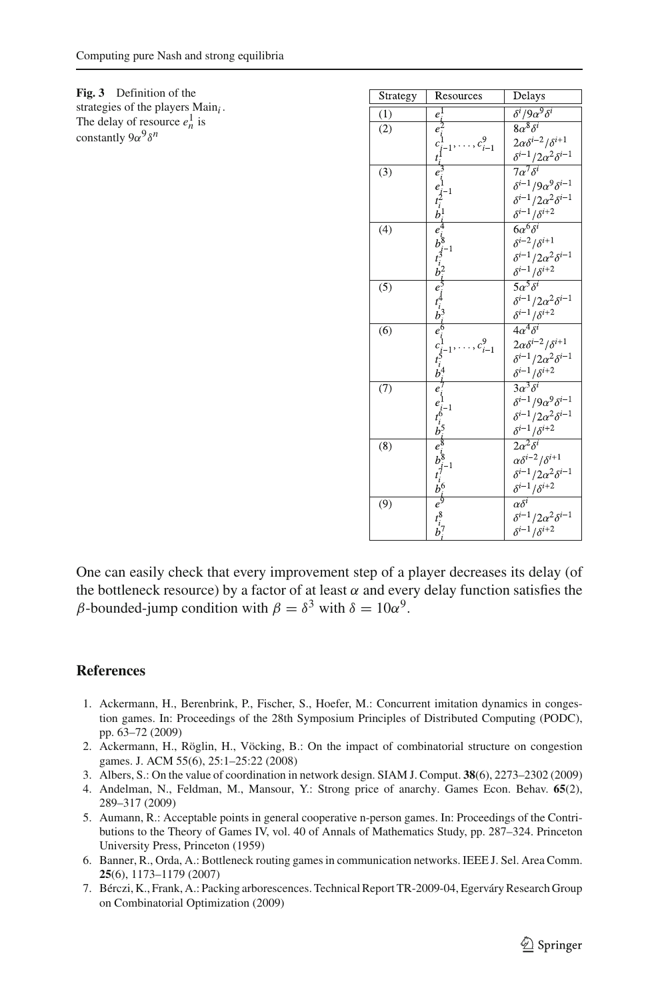<span id="page-20-7"></span>**Fig. 3** Definition of the strategies of the players Main*i* . The delay of resource  $e_n^1$  is constantly 9α<sup>9</sup>δ<sup>*n*</sup>

| Strategy | Resources                                                                                   | Delays                               |
|----------|---------------------------------------------------------------------------------------------|--------------------------------------|
| (1)      | $e^{\rm I}$                                                                                 | $\delta^{i}/9\alpha^{9}\delta^{i}$   |
| (2)      | $e_i$                                                                                       | $8\alpha^8\delta^i$                  |
|          | $1, \ldots, c_{i-1}^9$                                                                      | $2\alpha\delta^{i-2}/\delta^{i+1}$   |
|          | $c_i^1$                                                                                     | $\delta^{i-1}/2\alpha^2\delta^{i-1}$ |
| (3)      |                                                                                             | $7\overline{\alpha^7\delta^i}$       |
|          |                                                                                             | $\delta^{i-1}/9\alpha^9\delta^{i-1}$ |
|          |                                                                                             | $\delta^{i-1}/2\alpha^2\delta^{i-1}$ |
|          | $e_i^3$<br>$e_i^1$ $e_i^1$ $e_i^1$<br>$e_i^2$ $e_i^8$ $e_i^1$<br>$e_i^2$<br>$e_i^2$         | $\delta^{i-1}/\delta^{i+2}$          |
| (4)      |                                                                                             | $6\alpha^6\delta^i$                  |
|          |                                                                                             | $\delta^{i-2}/\delta^{i+1}$          |
|          |                                                                                             | $\delta^{i-1}/2\alpha^2\delta^{i-1}$ |
|          |                                                                                             | $\delta^{i-1}/\delta^{i+2}$          |
| (5)      |                                                                                             | $5\overline{\alpha^5\delta^i}$       |
|          |                                                                                             | $\delta^{i-1}/2\alpha^2\delta^{i-1}$ |
|          | $e^{i}$ $e^{i}$ $e^{i}$ $e^{i}$ $e^{i}$ $e^{i}$ $e^{i}$ $e^{i}$ $e^{i}$ $e^{i}$             | $\delta^{i-1}/\delta^{i+2}$          |
| (6)      |                                                                                             | $4\alpha^4\delta^i$                  |
|          | , $c_{i-1}^9$                                                                               | $2\alpha\delta^{i-2}/\delta^{i+1}$   |
|          |                                                                                             | $\delta^{i-1}/2\alpha^2\delta^{i-1}$ |
|          |                                                                                             | $\delta^{i-1}/\delta^{i+2}$          |
| (7)      |                                                                                             | $3\alpha^3\delta^i$                  |
|          |                                                                                             | $\delta^{i-1}/9\alpha^9\delta^{i-1}$ |
|          |                                                                                             | $\delta^{i-1}/2\alpha^2\delta^{i-1}$ |
|          | $e_{i-1}^{1}$<br>$t_{i}^{6}$<br>$b_{i}^{5}$<br>$e_{i}^{8}$                                  | $\delta^{i-1}/\delta^{i+2}$          |
| (8)      |                                                                                             | $2\overline{\alpha^2\delta^i}$       |
|          | $-1$                                                                                        | $\alpha \delta^{i-2}/\delta^{i+1}$   |
|          | $\begin{array}{c} \boldsymbol{z}_i \\ \boldsymbol{b}_i^8 \\ \boldsymbol{t}_i^7 \end{array}$ | $\delta^{i-1}/2\alpha^2\delta^{i-1}$ |
|          | $b^6$                                                                                       | $\delta^{i-1}/\delta^{i+2}$          |
| (9)      | $\vec{e}^{\dot{\varphi}}$                                                                   | $\alpha\overline{\delta^i}$          |
|          | $t_i^8$<br>$b_i^7$                                                                          | $\delta^{i-1}/2\alpha^2\delta^{i-1}$ |
|          |                                                                                             | $\delta^{i-1}/\delta^{i+2}$          |

One can easily check that every improvement step of a player decreases its delay (of the bottleneck resource) by a factor of at least  $\alpha$  and every delay function satisfies the β-bounded-jump condition with  $β = δ^3$  with  $δ = 10α^9$ .

#### <span id="page-20-4"></span>**References**

- 1. Ackermann, H., Berenbrink, P., Fischer, S., Hoefer, M.: Concurrent imitation dynamics in congestion games. In: Proceedings of the 28th Symposium Principles of Distributed Computing (PODC), pp. 63–72 (2009)
- <span id="page-20-0"></span>2. Ackermann, H., Röglin, H., Vöcking, B.: On the impact of combinatorial structure on congestion games. J. ACM 55(6), 25:1–25:22 (2008)
- <span id="page-20-3"></span>3. Albers, S.: On the value of coordination in network design. SIAM J. Comput. **38**(6), 2273–2302 (2009)
- <span id="page-20-5"></span>4. Andelman, N., Feldman, M., Mansour, Y.: Strong price of anarchy. Games Econ. Behav. **65**(2), 289–317 (2009)
- <span id="page-20-2"></span>5. Aumann, R.: Acceptable points in general cooperative n-person games. In: Proceedings of the Contributions to the Theory of Games IV, vol. 40 of Annals of Mathematics Study, pp. 287–324. Princeton University Press, Princeton (1959)
- <span id="page-20-1"></span>6. Banner, R., Orda, A.: Bottleneck routing games in communication networks. IEEE J. Sel. Area Comm. **25**(6), 1173–1179 (2007)
- <span id="page-20-6"></span>7. Bérczi, K., Frank, A.: Packing arborescences. Technical Report TR-2009-04, Egerváry Research Group on Combinatorial Optimization (2009)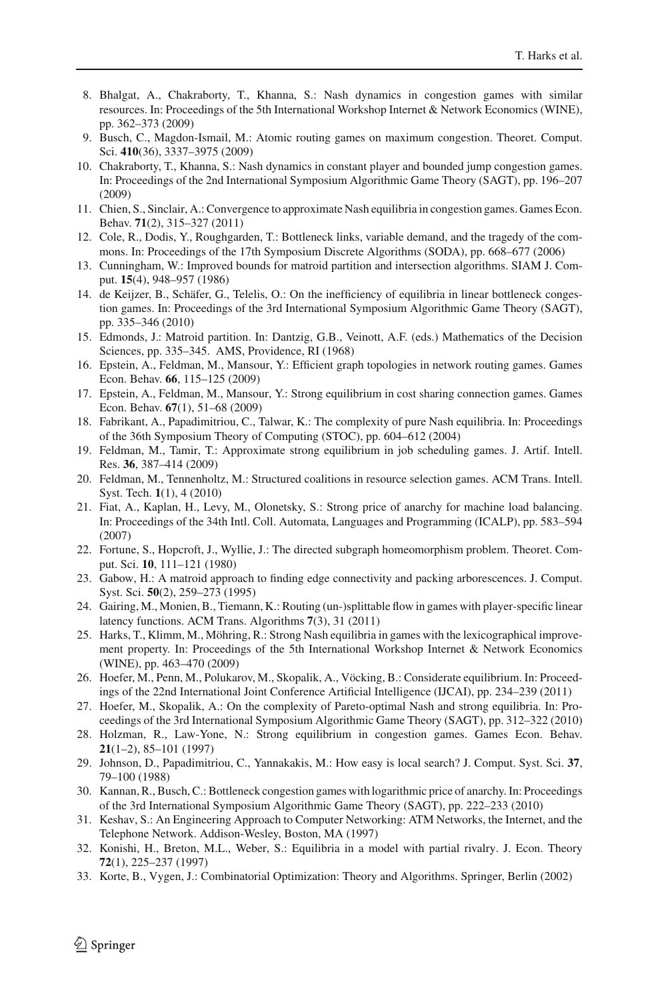- <span id="page-21-1"></span>8. Bhalgat, A., Chakraborty, T., Khanna, S.: Nash dynamics in congestion games with similar resources. In: Proceedings of the 5th International Workshop Internet & Network Economics (WINE), pp. 362–373 (2009)
- <span id="page-21-14"></span>9. Busch, C., Magdon-Ismail, M.: Atomic routing games on maximum congestion. Theoret. Comput. Sci. **410**(36), 3337–3975 (2009)
- <span id="page-21-22"></span>10. Chakraborty, T., Khanna, S.: Nash dynamics in constant player and bounded jump congestion games. In: Proceedings of the 2nd International Symposium Algorithmic Game Theory (SAGT), pp. 196–207 (2009)
- <span id="page-21-2"></span>11. Chien, S., Sinclair, A.: Convergence to approximate Nash equilibria in congestion games. Games Econ. Behav. **71**(2), 315–327 (2011)
- <span id="page-21-3"></span>12. Cole, R., Dodis, Y., Roughgarden, T.: Bottleneck links, variable demand, and the tragedy of the commons. In: Proceedings of the 17th Symposium Discrete Algorithms (SODA), pp. 668–677 (2006)
- <span id="page-21-18"></span>13. Cunningham, W.: Improved bounds for matroid partition and intersection algorithms. SIAM J. Comput. **15**(4), 948–957 (1986)
- <span id="page-21-15"></span>14. de Keijzer, B., Schäfer, G., Telelis, O.: On the inefficiency of equilibria in linear bottleneck congestion games. In: Proceedings of the 3rd International Symposium Algorithmic Game Theory (SAGT), pp. 335–346 (2010)
- <span id="page-21-25"></span>15. Edmonds, J.: Matroid partition. In: Dantzig, G.B., Veinott, A.F. (eds.) Mathematics of the Decision Sciences, pp. 335–345. AMS, Providence, RI (1968)
- <span id="page-21-13"></span>16. Epstein, A., Feldman, M., Mansour, Y.: Efficient graph topologies in network routing games. Games Econ. Behav. **66**, 115–125 (2009)
- <span id="page-21-9"></span>17. Epstein, A., Feldman, M., Mansour, Y.: Strong equilibrium in cost sharing connection games. Games Econ. Behav. **67**(1), 51–68 (2009)
- <span id="page-21-0"></span>18. Fabrikant, A., Papadimitriou, C., Talwar, K.: The complexity of pure Nash equilibria. In: Proceedings of the 36th Symposium Theory of Computing (STOC), pp. 604–612 (2004)
- <span id="page-21-12"></span>19. Feldman, M., Tamir, T.: Approximate strong equilibrium in job scheduling games. J. Artif. Intell. Res. **36**, 387–414 (2009)
- <span id="page-21-23"></span>20. Feldman, M., Tennenholtz, M.: Structured coalitions in resource selection games. ACM Trans. Intell. Syst. Tech. **1**(1), 4 (2010)
- <span id="page-21-11"></span>21. Fiat, A., Kaplan, H., Levy, M., Olonetsky, S.: Strong price of anarchy for machine load balancing. In: Proceedings of the 34th Intl. Coll. Automata, Languages and Programming (ICALP), pp. 583–594 (2007)
- <span id="page-21-20"></span>22. Fortune, S., Hopcroft, J., Wyllie, J.: The directed subgraph homeomorphism problem. Theoret. Comput. Sci. **10**, 111–121 (1980)
- <span id="page-21-19"></span>23. Gabow, H.: A matroid approach to finding edge connectivity and packing arborescences. J. Comput. Syst. Sci. **50**(2), 259–273 (1995)
- <span id="page-21-10"></span>24. Gairing, M., Monien, B., Tiemann, K.: Routing (un-)splittable flow in games with player-specific linear latency functions. ACM Trans. Algorithms **7**(3), 31 (2011)
- <span id="page-21-5"></span>25. Harks, T., Klimm, M., Möhring, R.: Strong Nash equilibria in games with the lexicographical improvement property. In: Proceedings of the 5th International Workshop Internet & Network Economics (WINE), pp. 463–470 (2009)
- <span id="page-21-24"></span>26. Hoefer, M., Penn, M., Polukarov, M., Skopalik, A., Vöcking, B.: Considerate equilibrium. In: Proceedings of the 22nd International Joint Conference Artificial Intelligence (IJCAI), pp. 234–239 (2011)
- <span id="page-21-8"></span>27. Hoefer, M., Skopalik, A.: On the complexity of Pareto-optimal Nash and strong equilibria. In: Proceedings of the 3rd International Symposium Algorithmic Game Theory (SAGT), pp. 312–322 (2010)
- <span id="page-21-6"></span>28. Holzman, R., Law-Yone, N.: Strong equilibrium in congestion games. Games Econ. Behav. **21**(1–2), 85–101 (1997)
- <span id="page-21-21"></span>29. Johnson, D., Papadimitriou, C., Yannakakis, M.: How easy is local search? J. Comput. Syst. Sci. **37**, 79–100 (1988)
- <span id="page-21-16"></span>30. Kannan, R., Busch, C.: Bottleneck congestion games with logarithmic price of anarchy. In: Proceedings of the 3rd International Symposium Algorithmic Game Theory (SAGT), pp. 222–233 (2010)
- <span id="page-21-4"></span>31. Keshav, S.: An Engineering Approach to Computer Networking: ATM Networks, the Internet, and the Telephone Network. Addison-Wesley, Boston, MA (1997)
- <span id="page-21-7"></span>32. Konishi, H., Breton, M.L., Weber, S.: Equilibria in a model with partial rivalry. J. Econ. Theory **72**(1), 225–237 (1997)
- <span id="page-21-17"></span>33. Korte, B., Vygen, J.: Combinatorial Optimization: Theory and Algorithms. Springer, Berlin (2002)